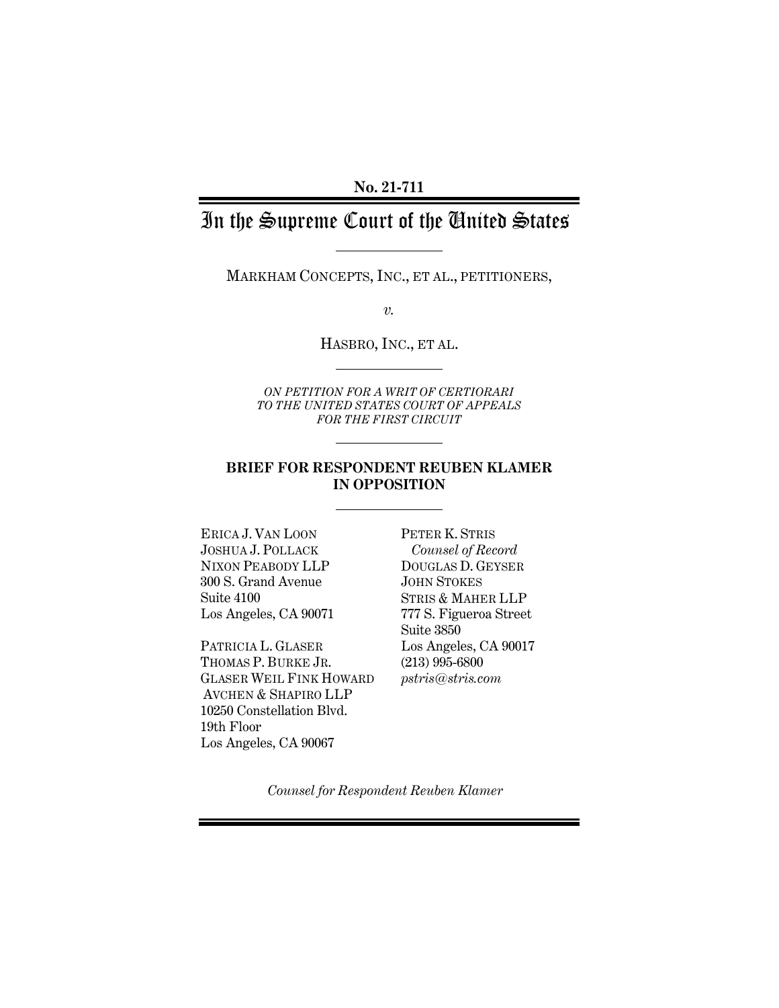# In the Supreme Court of the United States

MARKHAM CONCEPTS, INC., ET AL., PETITIONERS,

*v.*

HASBRO, INC., ET AL.

*ON PETITION FOR A WRIT OF CERTIORARI TO THE UNITED STATES COURT OF APPEALS FOR THE FIRST CIRCUIT* 

### **BRIEF FOR RESPONDENT REUBEN KLAMER IN OPPOSITION**

ERICA J. VAN LOON JOSHUA J. POLLACK NIXON PEABODY LLP 300 S. Grand Avenue Suite 4100 Los Angeles, CA 90071

PATRICIA L. GLASER THOMAS P. BURKE JR. GLASER WEIL FINK HOWARD AVCHEN & SHAPIRO LLP 10250 Constellation Blvd. 19th Floor Los Angeles, CA 90067

PETER K. STRIS *Counsel of Record* DOUGLAS D. GEYSER JOHN STOKES STRIS & MAHER LLP 777 S. Figueroa Street Suite 3850 Los Angeles, CA 90017 (213) 995-6800 *pstris@stris.com*

*Counsel for Respondent Reuben Klamer*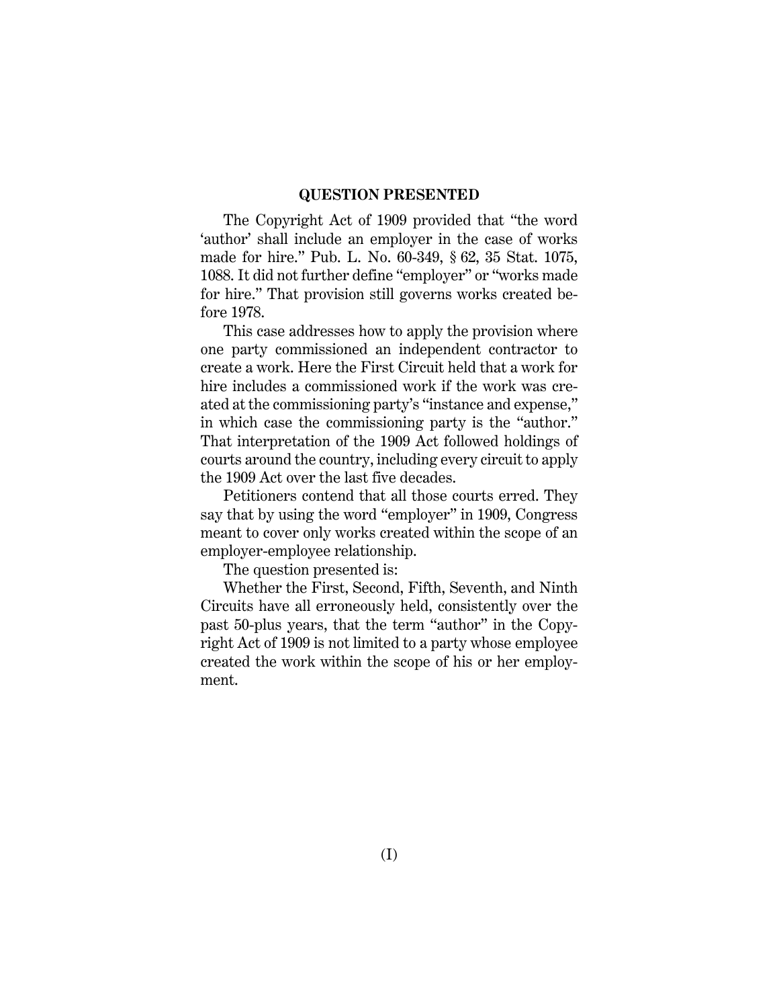#### **QUESTION PRESENTED**

The Copyright Act of 1909 provided that "the word 'author' shall include an employer in the case of works made for hire." Pub. L. No. 60-349, § 62, 35 Stat. 1075, 1088. It did not further define "employer" or "works made for hire." That provision still governs works created before 1978.

This case addresses how to apply the provision where one party commissioned an independent contractor to create a work. Here the First Circuit held that a work for hire includes a commissioned work if the work was created at the commissioning party's "instance and expense," in which case the commissioning party is the "author." That interpretation of the 1909 Act followed holdings of courts around the country, including every circuit to apply the 1909 Act over the last five decades.

Petitioners contend that all those courts erred. They say that by using the word "employer" in 1909, Congress meant to cover only works created within the scope of an employer-employee relationship.

The question presented is:

Whether the First, Second, Fifth, Seventh, and Ninth Circuits have all erroneously held, consistently over the past 50-plus years, that the term "author" in the Copyright Act of 1909 is not limited to a party whose employee created the work within the scope of his or her employment.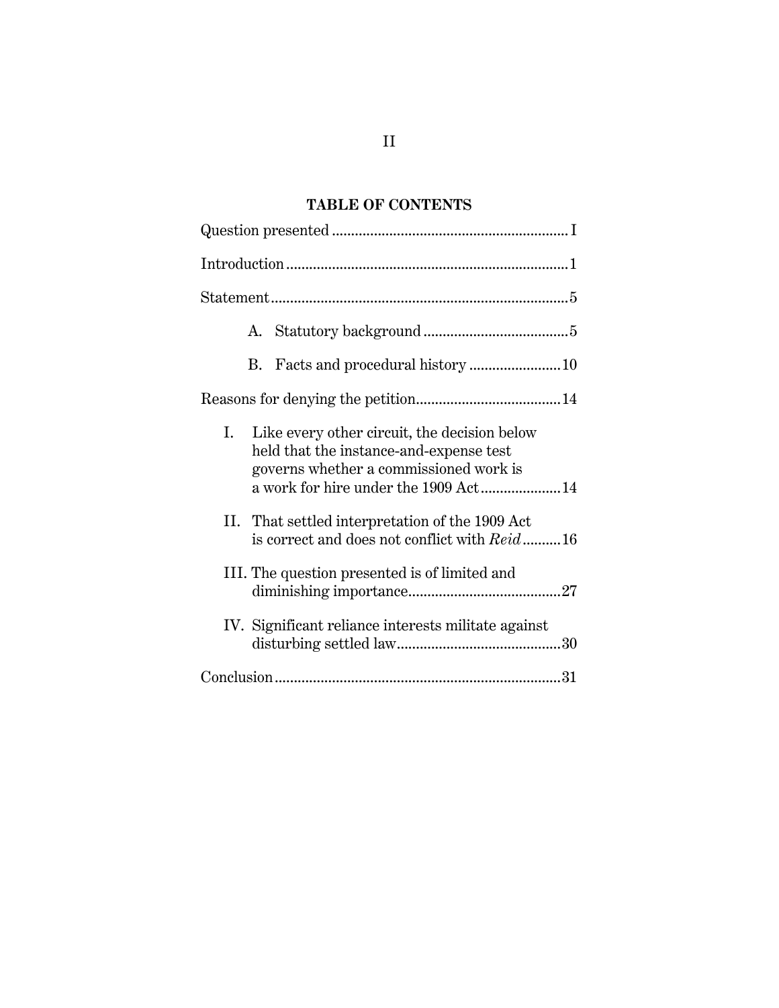### **TABLE OF CONTENTS**

| Like every other circuit, the decision below<br>Ι.<br>held that the instance-and-expense test<br>governs whether a commissioned work is<br>a work for hire under the 1909 Act14 |
|---------------------------------------------------------------------------------------------------------------------------------------------------------------------------------|
| II. That settled interpretation of the 1909 Act<br>is correct and does not conflict with Reid16                                                                                 |
| III. The question presented is of limited and                                                                                                                                   |
| IV. Significant reliance interests militate against                                                                                                                             |
|                                                                                                                                                                                 |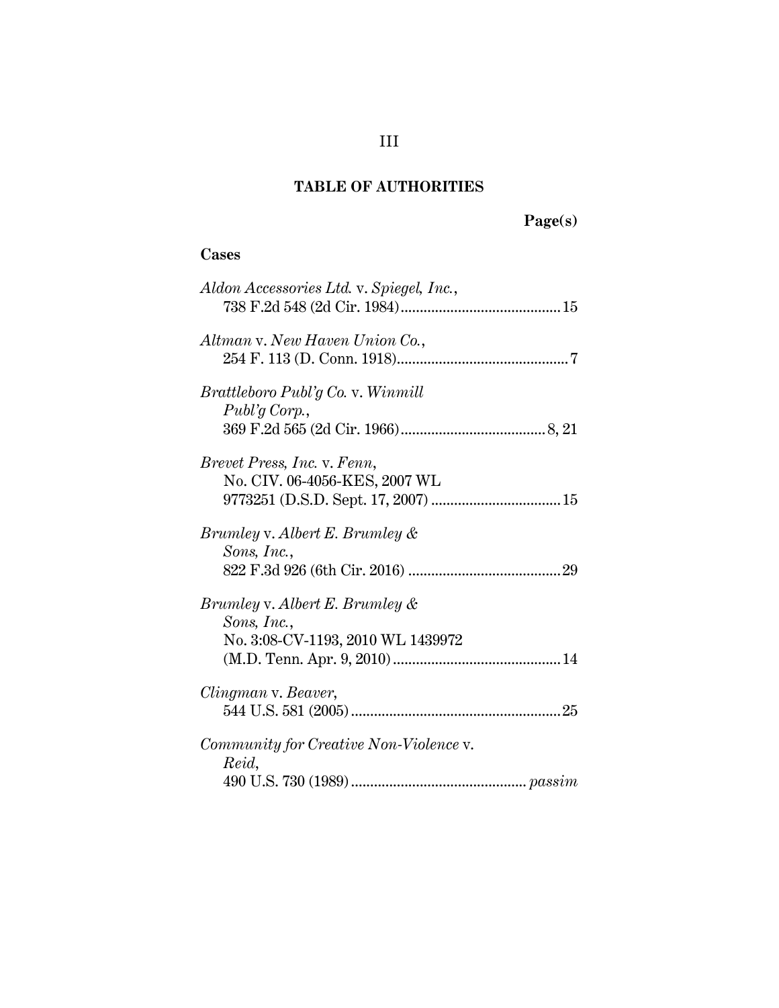## **TABLE OF AUTHORITIES**

# **Page(s)**

## **Cases**

| Aldon Accessories Ltd. v. Spiegel, Inc.,                                           |
|------------------------------------------------------------------------------------|
| Altman v. New Haven Union Co.,                                                     |
| Brattleboro Publ'g Co. v. Winmill<br>Publ'g Corp.,                                 |
| Brevet Press, Inc. v. Fenn,<br>No. CIV. 06-4056-KES, 2007 WL                       |
| Brumley v. Albert E. Brumley &<br>Sons, Inc.,                                      |
| Brumley v. Albert E. Brumley &<br>Sons, Inc.,<br>No. 3:08-CV-1193, 2010 WL 1439972 |
| Clingman v. Beaver,                                                                |
| Community for Creative Non-Violence v.<br>Reid,                                    |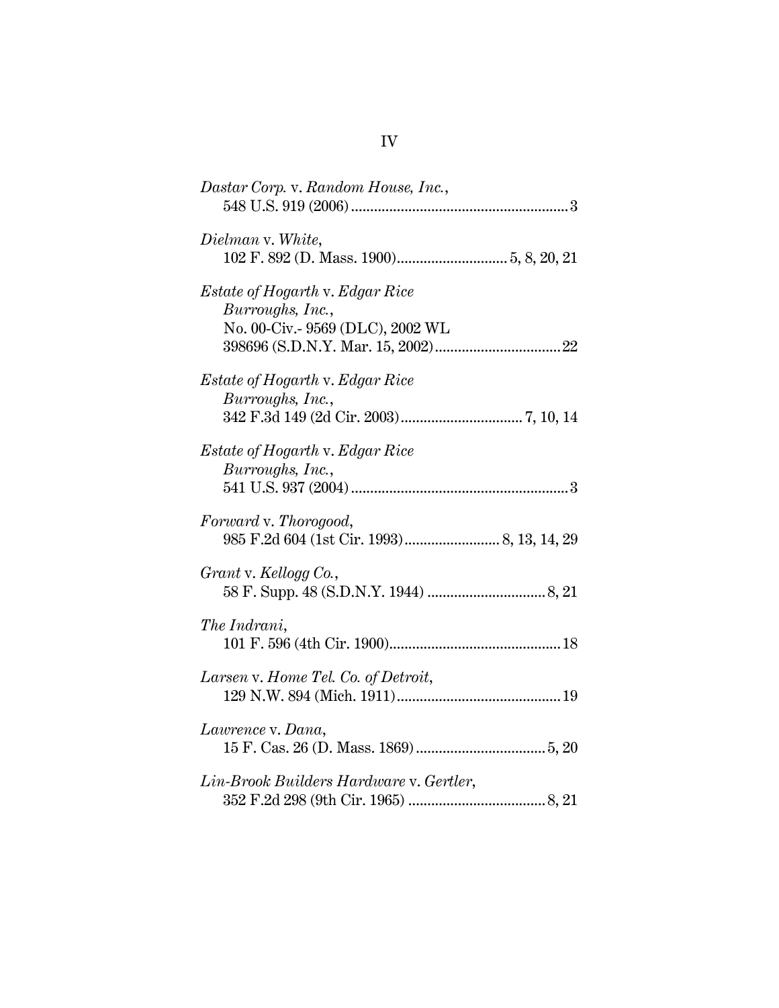| Dastar Corp. v. Random House, Inc.,                                                     |
|-----------------------------------------------------------------------------------------|
| Dielman v. White,                                                                       |
| Estate of Hogarth v. Edgar Rice<br>Burroughs, Inc.,<br>No. 00-Civ.- 9569 (DLC), 2002 WL |
| <i>Estate of Hogarth v. Edgar Rice</i><br>Burroughs, Inc.,                              |
| <i>Estate of Hogarth v. Edgar Rice</i><br>Burroughs, Inc.,                              |
| Forward v. Thorogood,                                                                   |
| Grant v. Kellogg Co.,                                                                   |
| The Indrani,                                                                            |
| Larsen v. Home Tel. Co. of Detroit,                                                     |
| Lawrence v. Dana,                                                                       |
| Lin-Brook Builders Hardware v. Gertler,                                                 |

IV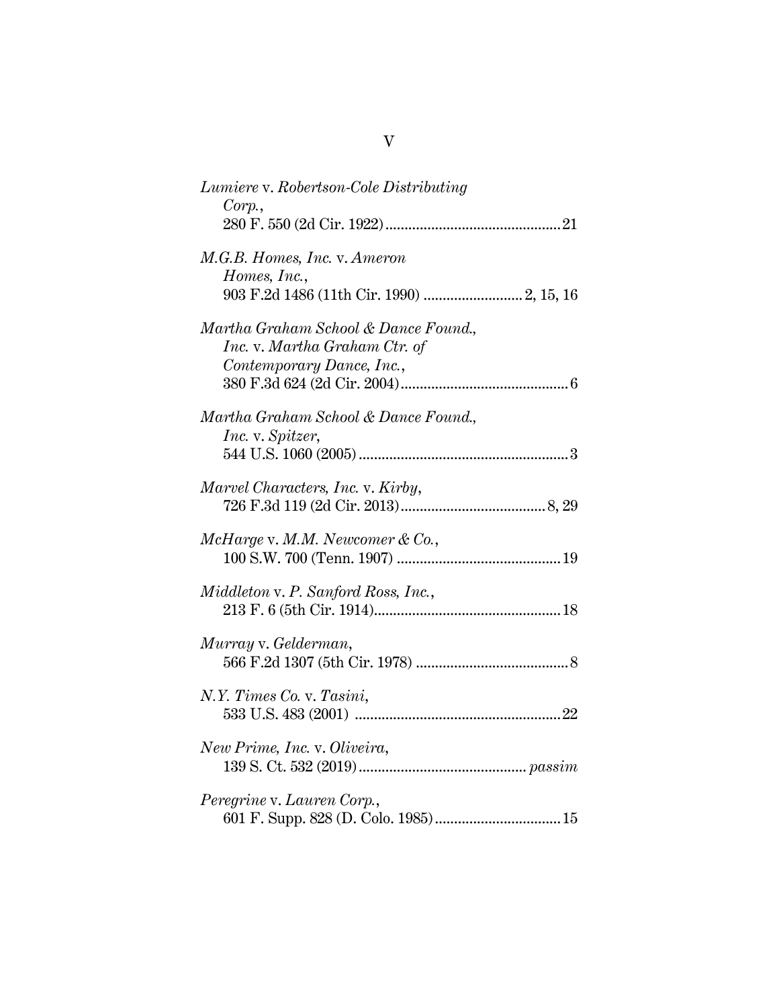| Lumiere v. Robertson-Cole Distributing<br>Corp.                                                    |
|----------------------------------------------------------------------------------------------------|
| M.G.B. Homes, Inc. v. Ameron<br>Homes, Inc.,                                                       |
| Martha Graham School & Dance Found.,<br>Inc. v. Martha Graham Ctr. of<br>Contemporary Dance, Inc., |
| Martha Graham School & Dance Found.,<br>Inc. v. Spitzer,                                           |
| Marvel Characters, Inc. v. Kirby,                                                                  |
| $McHarge$ v. M.M. Newcomer & Co.,                                                                  |
| Middleton v. P. Sanford Ross, Inc.,                                                                |
| Murray v. Gelderman,                                                                               |
| N.Y. Times Co. v. Tasini,                                                                          |
| New Prime, Inc. v. Oliveira,                                                                       |
| Peregrine v. Lauren Corp.,                                                                         |

|--|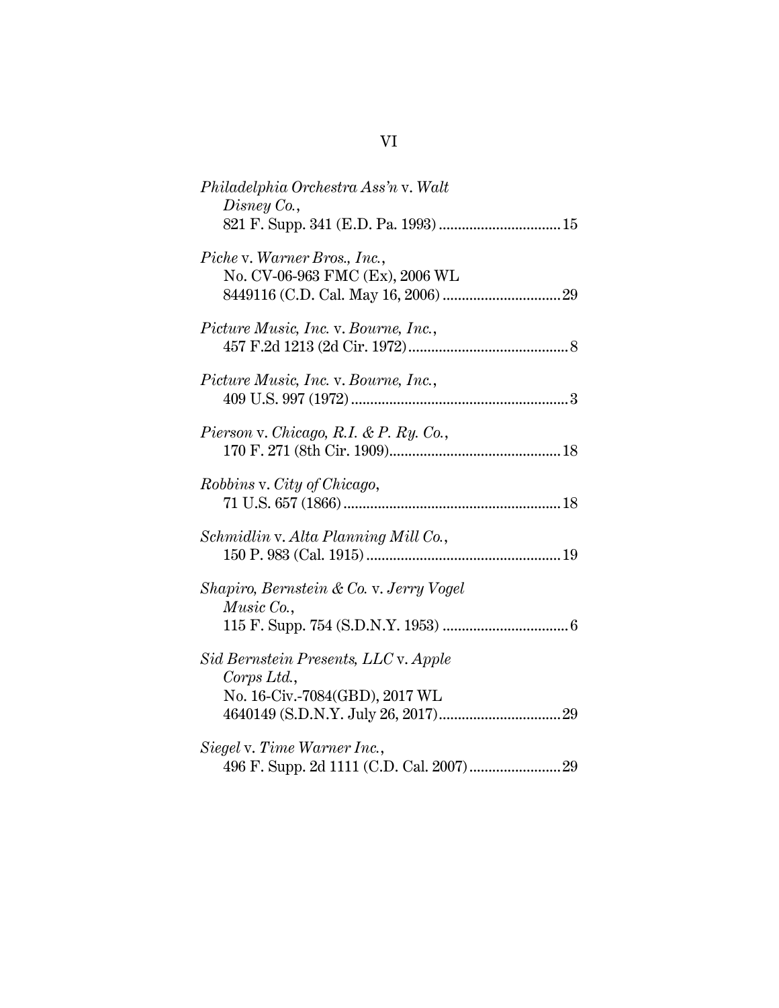| Philadelphia Orchestra Ass'n v. Walt<br>Disney Co.,                                   |
|---------------------------------------------------------------------------------------|
| Piche v. Warner Bros., Inc.,<br>No. CV-06-963 FMC (Ex), 2006 WL                       |
| Picture Music, Inc. v. Bourne, Inc.,                                                  |
| Picture Music, Inc. v. Bourne, Inc.,                                                  |
| Pierson v. Chicago, R.I. & P. Ry. Co.,                                                |
| <i>Robbins v. City of Chicago,</i>                                                    |
| Schmidlin v. Alta Planning Mill Co.,                                                  |
| Shapiro, Bernstein & Co. v. Jerry Vogel<br>Music Co.,                                 |
| Sid Bernstein Presents, LLC v. Apple<br>Corps Ltd.,<br>No. 16-Civ.-7084(GBD), 2017 WL |
| Siegel v. Time Warner Inc.,                                                           |

# VI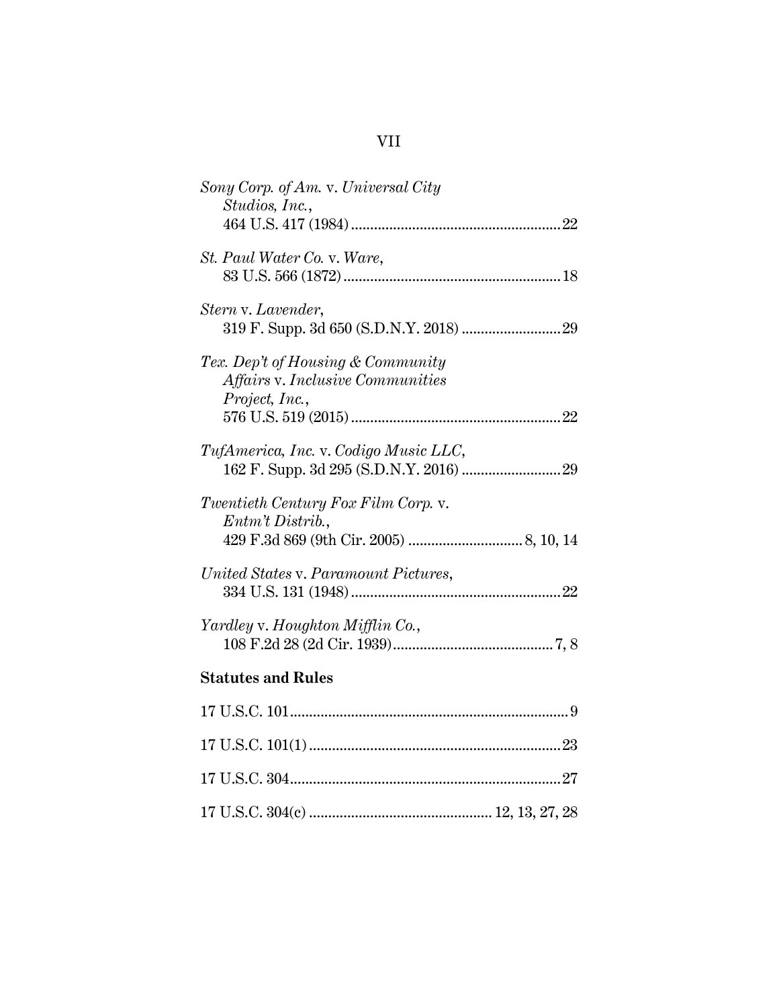# VII

| Sony Corp. of Am. v. Universal City<br>Studios, Inc.,                                   |
|-----------------------------------------------------------------------------------------|
| St. Paul Water Co. v. Ware,                                                             |
| Stern v. Lavender,                                                                      |
| Tex. Dep't of Housing & Community<br>Affairs v. Inclusive Communities<br>Project, Inc., |
| TufAmerica, Inc. v. Codigo Music LLC,                                                   |
| Twentieth Century Fox Film Corp. v.<br>Entm't Distrib.,                                 |
| United States v. Paramount Pictures,                                                    |
| Yardley v. Houghton Mifflin Co.,                                                        |
| <b>Statutes and Rules</b>                                                               |
|                                                                                         |
|                                                                                         |
|                                                                                         |
|                                                                                         |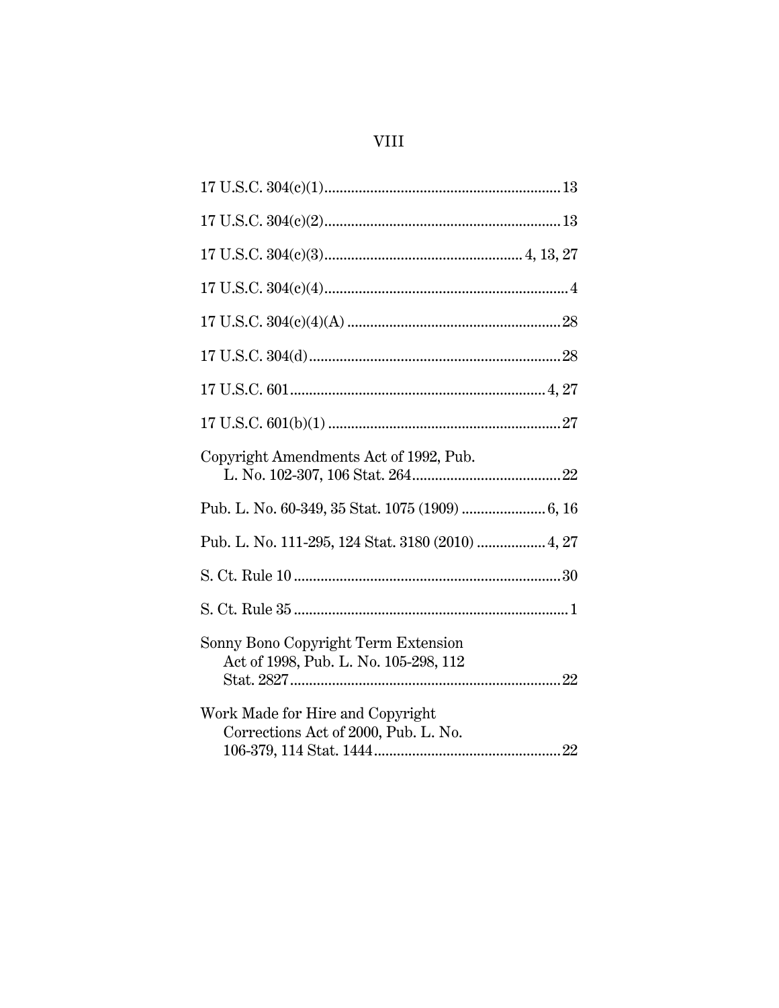# **VIII**

| Copyright Amendments Act of 1992, Pub.                                       |
|------------------------------------------------------------------------------|
|                                                                              |
| Pub. L. No. 111-295, 124 Stat. 3180 (2010)  4, 27                            |
|                                                                              |
|                                                                              |
| Sonny Bono Copyright Term Extension<br>Act of 1998, Pub. L. No. 105-298, 112 |
| Work Made for Hire and Copyright<br>Corrections Act of 2000, Pub. L. No.     |
|                                                                              |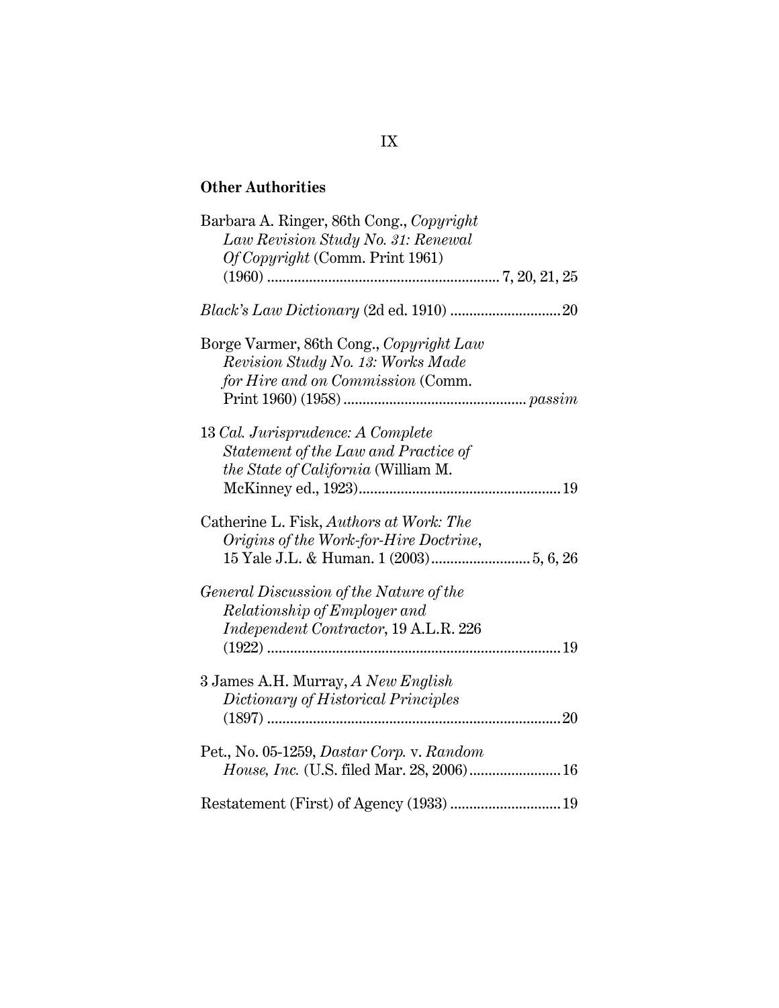## **Other Authorities**

| Barbara A. Ringer, 86th Cong., Copyright<br>Law Revision Study No. 31: Renewal<br>Of Copyright (Comm. Print 1961) |  |
|-------------------------------------------------------------------------------------------------------------------|--|
|                                                                                                                   |  |
|                                                                                                                   |  |
| Borge Varmer, 86th Cong., Copyright Law<br>Revision Study No. 13: Works Made<br>for Hire and on Commission (Comm. |  |
| 13 Cal. Jurisprudence: A Complete<br>Statement of the Law and Practice of<br>the State of California (William M.  |  |
| Catherine L. Fisk, Authors at Work: The<br>Origins of the Work-for-Hire Doctrine,                                 |  |
| General Discussion of the Nature of the<br>Relationship of Employer and<br>Independent Contractor, 19 A.L.R. 226  |  |
| 3 James A.H. Murray, A New English<br>Dictionary of Historical Principles                                         |  |
| Pet., No. 05-1259, Dastar Corp. v. Random<br>House, Inc. (U.S. filed Mar. 28, 2006) 16                            |  |
|                                                                                                                   |  |

## IX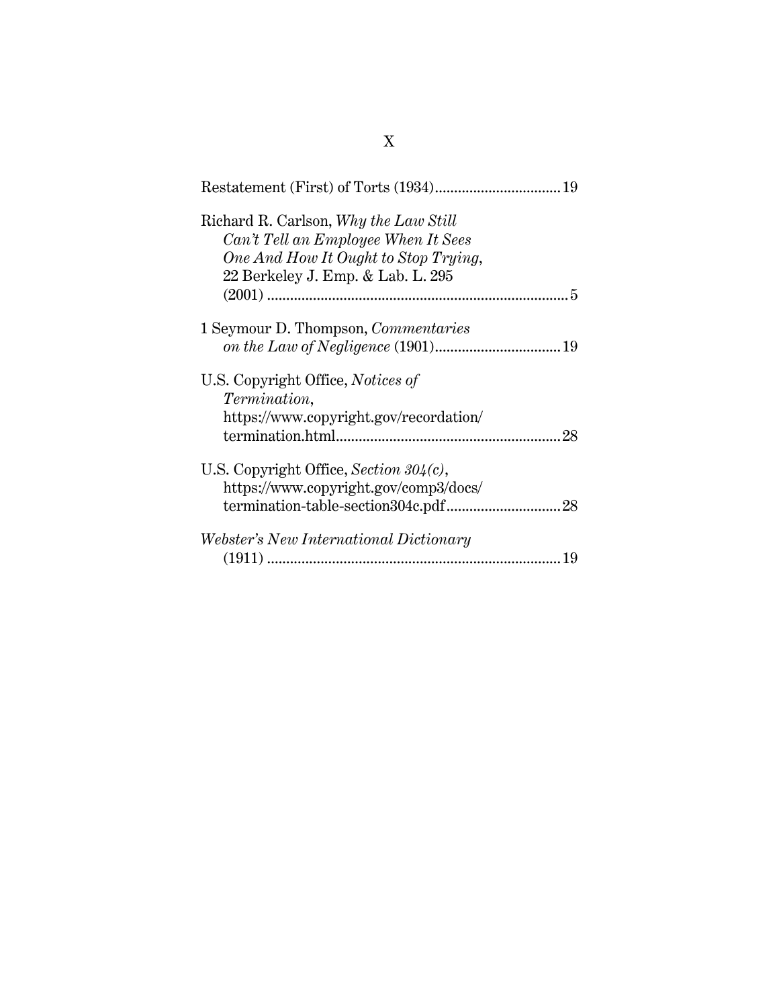| 19                                                                                                                                                        |
|-----------------------------------------------------------------------------------------------------------------------------------------------------------|
| Richard R. Carlson, Why the Law Still<br>Can't Tell an Employee When It Sees<br>One And How It Ought to Stop Trying,<br>22 Berkeley J. Emp. & Lab. L. 295 |
| 1 Seymour D. Thompson, <i>Commentaries</i>                                                                                                                |
| U.S. Copyright Office, <i>Notices of</i><br><i>Termination,</i><br>https://www.copyright.gov/recordation/<br>28                                           |
| U.S. Copyright Office, Section $304(c)$ ,<br>https://www.copyright.gov/comp3/docs/                                                                        |
| <i>Webster's New International Dictionary</i><br>19                                                                                                       |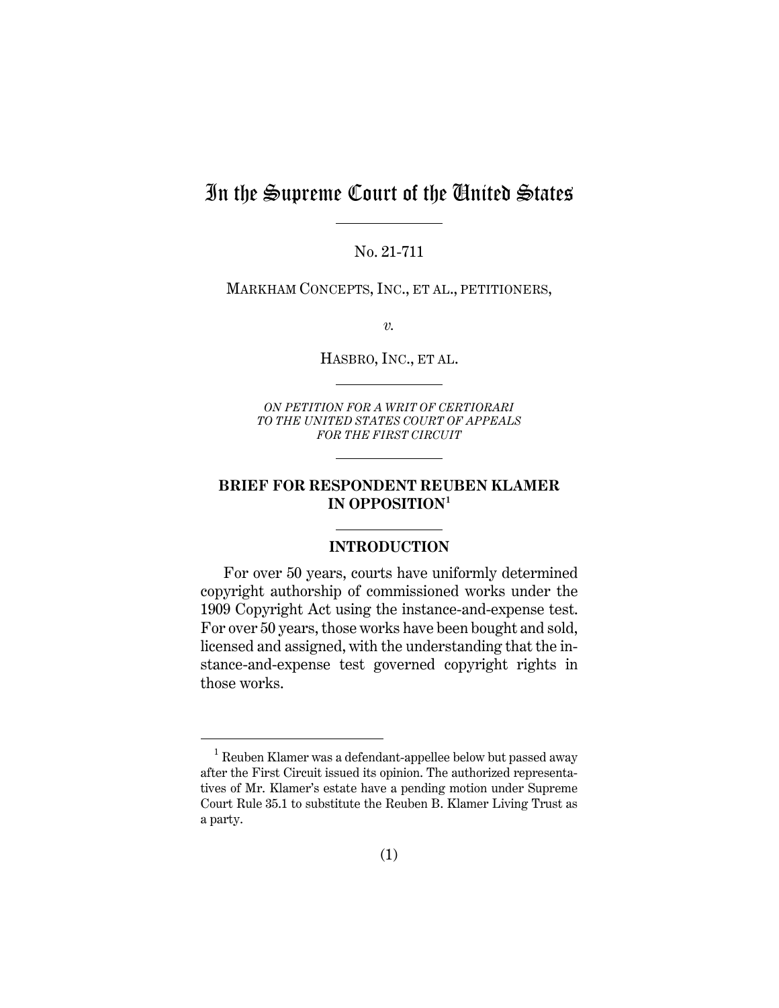## In the Supreme Court of the United States

No. 21-711

MARKHAM CONCEPTS, INC., ET AL., PETITIONERS,

*v.*

HASBRO, INC., ET AL.

*ON PETITION FOR A WRIT OF CERTIORARI TO THE UNITED STATES COURT OF APPEALS FOR THE FIRST CIRCUIT* 

### **BRIEF FOR RESPONDENT REUBEN KLAMER IN OPPOSITION[1](#page-11-0)**

#### **INTRODUCTION**

For over 50 years, courts have uniformly determined copyright authorship of commissioned works under the 1909 Copyright Act using the instance-and-expense test. For over 50 years, those works have been bought and sold, licensed and assigned, with the understanding that the instance-and-expense test governed copyright rights in those works.

<span id="page-11-0"></span><sup>&</sup>lt;sup>1</sup> Reuben Klamer was a defendant-appellee below but passed away after the First Circuit issued its opinion. The authorized representatives of Mr. Klamer's estate have a pending motion under Supreme Court Rule 35.1 to substitute the Reuben B. Klamer Living Trust as a party.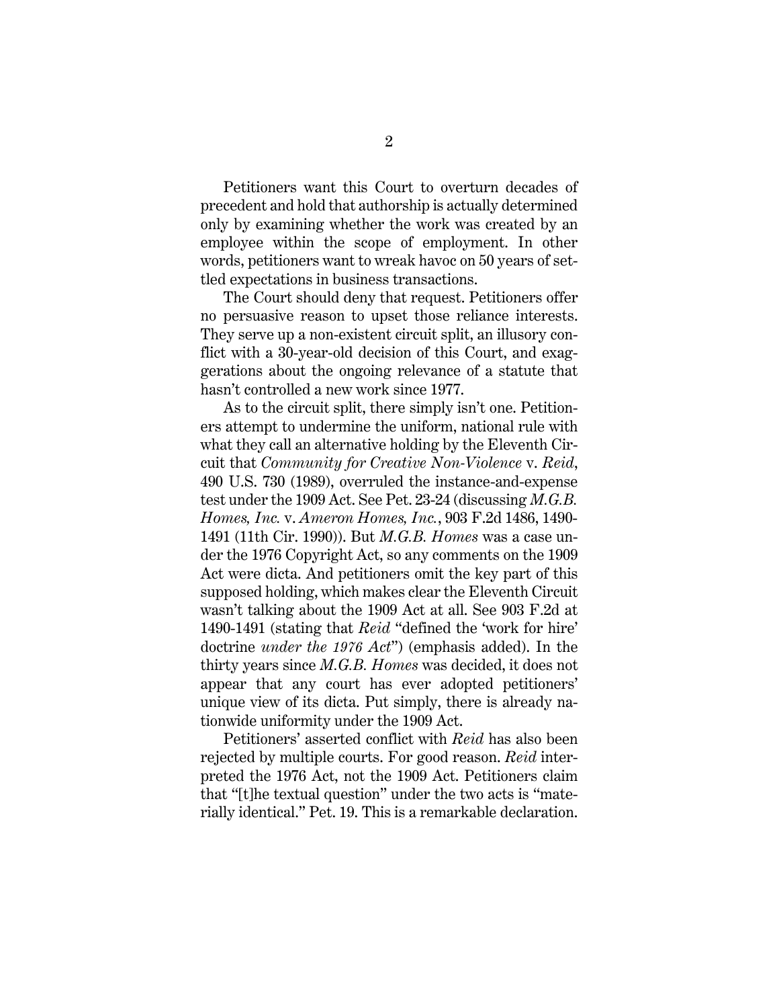Petitioners want this Court to overturn decades of precedent and hold that authorship is actually determined only by examining whether the work was created by an employee within the scope of employment. In other words, petitioners want to wreak havoc on 50 years of settled expectations in business transactions.

The Court should deny that request. Petitioners offer no persuasive reason to upset those reliance interests. They serve up a non-existent circuit split, an illusory conflict with a 30-year-old decision of this Court, and exaggerations about the ongoing relevance of a statute that hasn't controlled a new work since 1977.

<span id="page-12-1"></span><span id="page-12-0"></span>As to the circuit split, there simply isn't one. Petitioners attempt to undermine the uniform, national rule with what they call an alternative holding by the Eleventh Circuit that *Community for Creative Non-Violence* v. *Reid*, 490 U.S. 730 (1989), overruled the instance-and-expense test under the 1909 Act. See Pet. 23-24 (discussing *M.G.B. Homes, Inc.* v. *Ameron Homes, Inc.*, 903 F.2d 1486, 1490- 1491 (11th Cir. 1990)). But *M.G.B. Homes* was a case under the 1976 Copyright Act, so any comments on the 1909 Act were dicta. And petitioners omit the key part of this supposed holding, which makes clear the Eleventh Circuit wasn't talking about the 1909 Act at all. See 903 F.2d at 1490-1491 (stating that *Reid* "defined the 'work for hire' doctrine *under the 1976 Act*") (emphasis added). In the thirty years since *M.G.B. Homes* was decided, it does not appear that any court has ever adopted petitioners' unique view of its dicta. Put simply, there is already nationwide uniformity under the 1909 Act.

Petitioners' asserted conflict with *Reid* has also been rejected by multiple courts. For good reason. *Reid* interpreted the 1976 Act, not the 1909 Act. Petitioners claim that "[t]he textual question" under the two acts is "materially identical." Pet. 19. This is a remarkable declaration.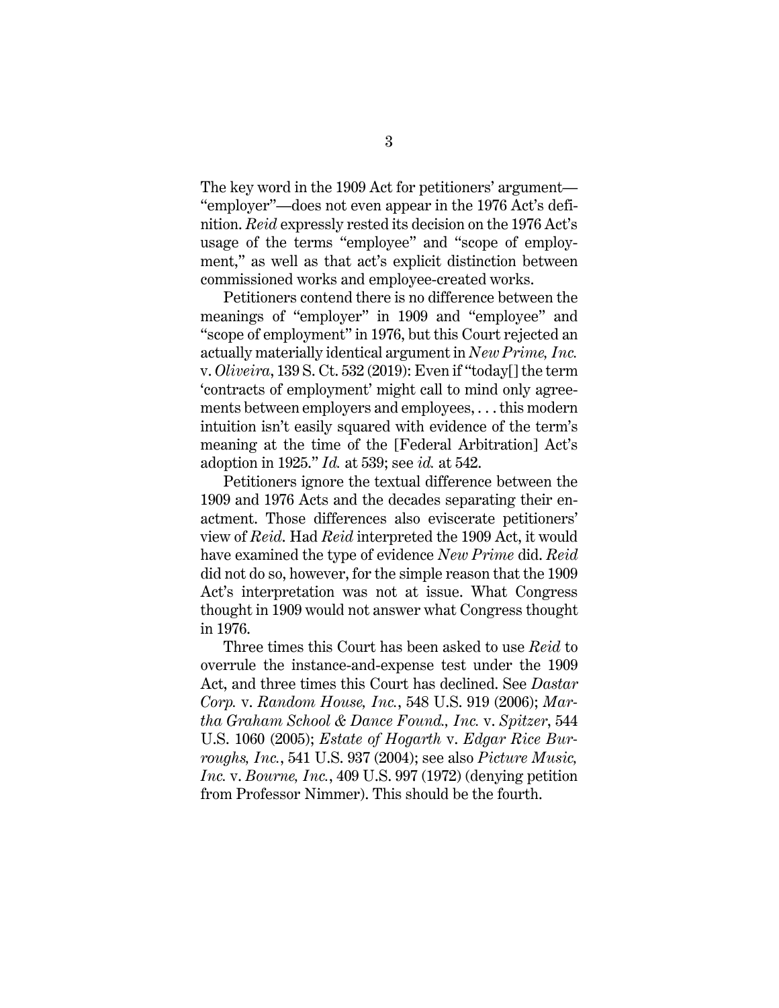The key word in the 1909 Act for petitioners' argument— "employer"—does not even appear in the 1976 Act's definition. *Reid* expressly rested its decision on the 1976 Act's usage of the terms "employee" and "scope of employment," as well as that act's explicit distinction between commissioned works and employee-created works.

<span id="page-13-3"></span>Petitioners contend there is no difference between the meanings of "employer" in 1909 and "employee" and "scope of employment" in 1976, but this Court rejected an actually materially identical argument in *New Prime, Inc.* v. *Oliveira*, 139 S. Ct. 532 (2019): Even if "today[] the term 'contracts of employment' might call to mind only agreements between employers and employees, . . . this modern intuition isn't easily squared with evidence of the term's meaning at the time of the [Federal Arbitration] Act's adoption in 1925." *Id.* at 539; see *id.* at 542.

Petitioners ignore the textual difference between the 1909 and 1976 Acts and the decades separating their enactment. Those differences also eviscerate petitioners' view of *Reid*. Had *Reid* interpreted the 1909 Act, it would have examined the type of evidence *New Prime* did. *Reid* did not do so, however, for the simple reason that the 1909 Act's interpretation was not at issue. What Congress thought in 1909 would not answer what Congress thought in 1976.

<span id="page-13-4"></span><span id="page-13-2"></span><span id="page-13-1"></span><span id="page-13-0"></span>Three times this Court has been asked to use *Reid* to overrule the instance-and-expense test under the 1909 Act, and three times this Court has declined. See *Dastar Corp.* v. *Random House, Inc.*, 548 U.S. 919 (2006); *Martha Graham School & Dance Found., Inc.* v. *Spitzer*, 544 U.S. 1060 (2005); *Estate of Hogarth* v. *Edgar Rice Burroughs, Inc.*, 541 U.S. 937 (2004); see also *Picture Music, Inc.* v. *Bourne, Inc.*, 409 U.S. 997 (1972) (denying petition from Professor Nimmer). This should be the fourth.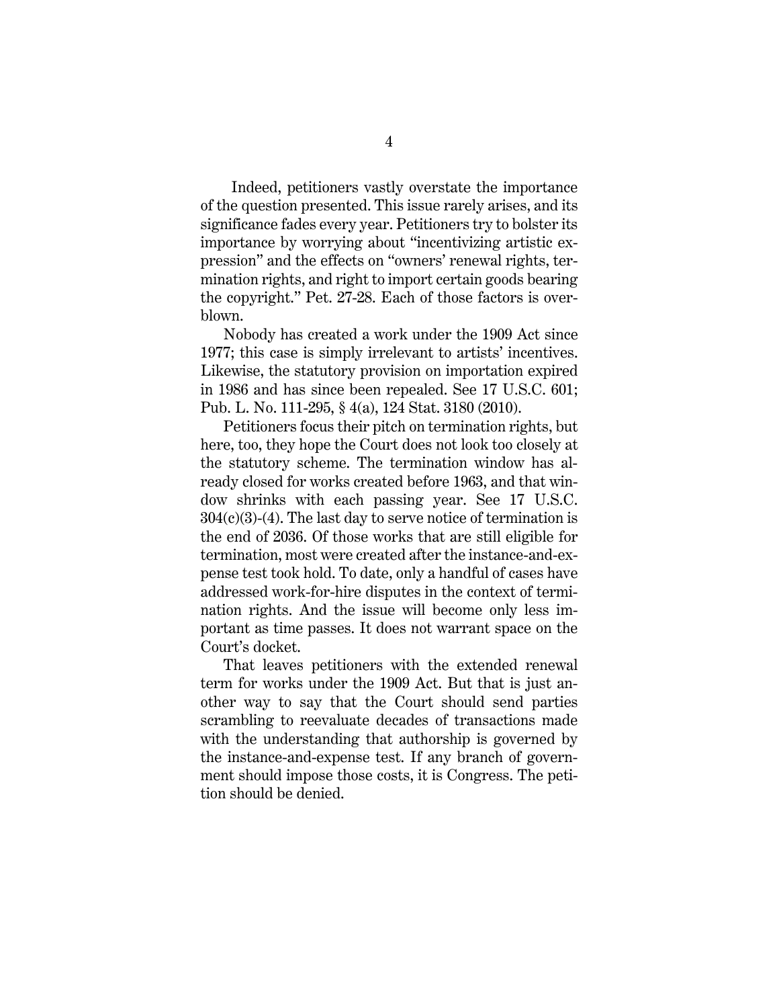Indeed, petitioners vastly overstate the importance of the question presented. This issue rarely arises, and its significance fades every year. Petitioners try to bolster its importance by worrying about "incentivizing artistic expression" and the effects on "owners' renewal rights, termination rights, and right to import certain goods bearing the copyright." Pet. 27-28. Each of those factors is overblown.

Nobody has created a work under the 1909 Act since 1977; this case is simply irrelevant to artists' incentives. Likewise, the statutory provision on importation expired in 1986 and has since been repealed. See 17 U.S.C. 601; Pub. L. No. 111-295, § 4(a), 124 Stat. 3180 (2010).

<span id="page-14-2"></span><span id="page-14-1"></span><span id="page-14-0"></span>Petitioners focus their pitch on termination rights, but here, too, they hope the Court does not look too closely at the statutory scheme. The termination window has already closed for works created before 1963, and that window shrinks with each passing year. See 17 U.S.C.  $304(c)(3)-(4)$ . The last day to serve notice of termination is the end of 2036. Of those works that are still eligible for termination, most were created after the instance-and-expense test took hold. To date, only a handful of cases have addressed work-for-hire disputes in the context of termination rights. And the issue will become only less important as time passes. It does not warrant space on the Court's docket.

That leaves petitioners with the extended renewal term for works under the 1909 Act. But that is just another way to say that the Court should send parties scrambling to reevaluate decades of transactions made with the understanding that authorship is governed by the instance-and-expense test. If any branch of government should impose those costs, it is Congress. The petition should be denied.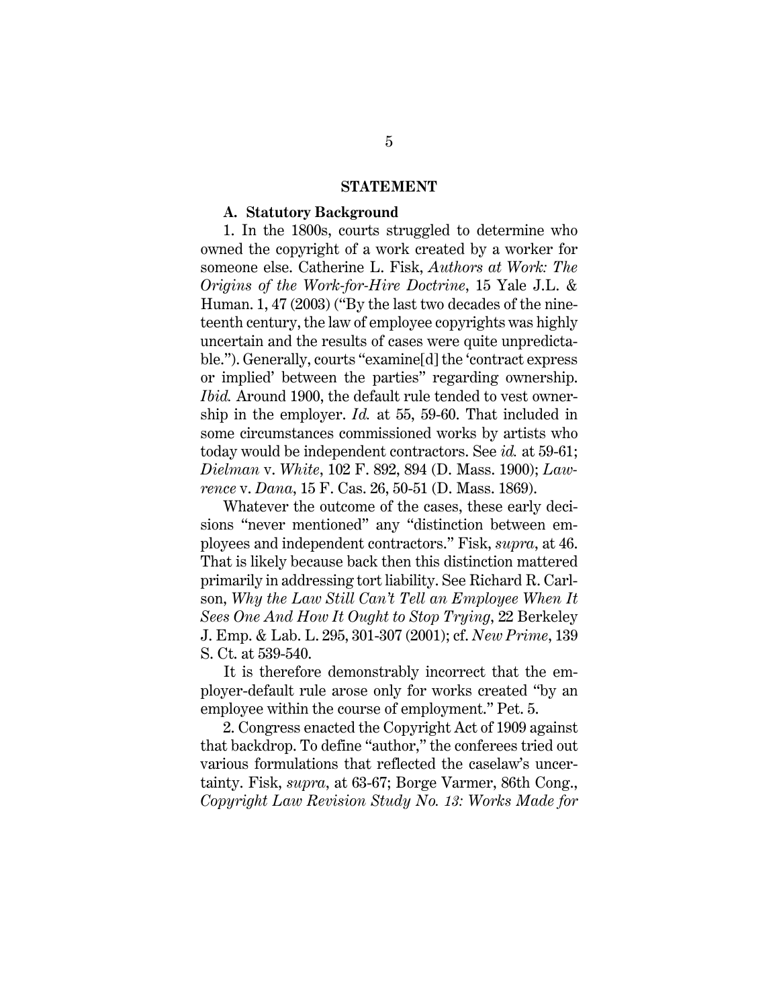#### <span id="page-15-3"></span><span id="page-15-1"></span>**STATEMENT**

#### **A. Statutory Background**

1. In the 1800s, courts struggled to determine who owned the copyright of a work created by a worker for someone else. Catherine L. Fisk, *Authors at Work: The Origins of the Work-for-Hire Doctrine*, 15 Yale J.L. & Human. 1, 47 (2003) ("By the last two decades of the nineteenth century, the law of employee copyrights was highly uncertain and the results of cases were quite unpredictable."). Generally, courts "examine[d] the 'contract express or implied' between the parties" regarding ownership. *Ibid.* Around 1900, the default rule tended to vest ownership in the employer. *Id.* at 55, 59-60. That included in some circumstances commissioned works by artists who today would be independent contractors. See *id.* at 59-61; *Dielman* v. *White*, 102 F. 892, 894 (D. Mass. 1900); *Lawrence* v. *Dana*, 15 F. Cas. 26, 50-51 (D. Mass. 1869).

<span id="page-15-4"></span><span id="page-15-0"></span>Whatever the outcome of the cases, these early decisions "never mentioned" any "distinction between employees and independent contractors." Fisk, *supra*, at 46. That is likely because back then this distinction mattered primarily in addressing tort liability. See Richard R. Carlson, *Why the Law Still Can't Tell an Employee When It Sees One And How It Ought to Stop Trying*, 22 Berkeley J. Emp. & Lab. L. 295, 301-307 (2001); cf. *New Prime*, 139 S. Ct. at 539-540.

It is therefore demonstrably incorrect that the employer-default rule arose only for works created "by an employee within the course of employment." Pet. 5.

<span id="page-15-2"></span>2. Congress enacted the Copyright Act of 1909 against that backdrop. To define "author," the conferees tried out various formulations that reflected the caselaw's uncertainty. Fisk, *supra*, at 63-67; Borge Varmer, 86th Cong., *Copyright Law Revision Study No. 13: Works Made for*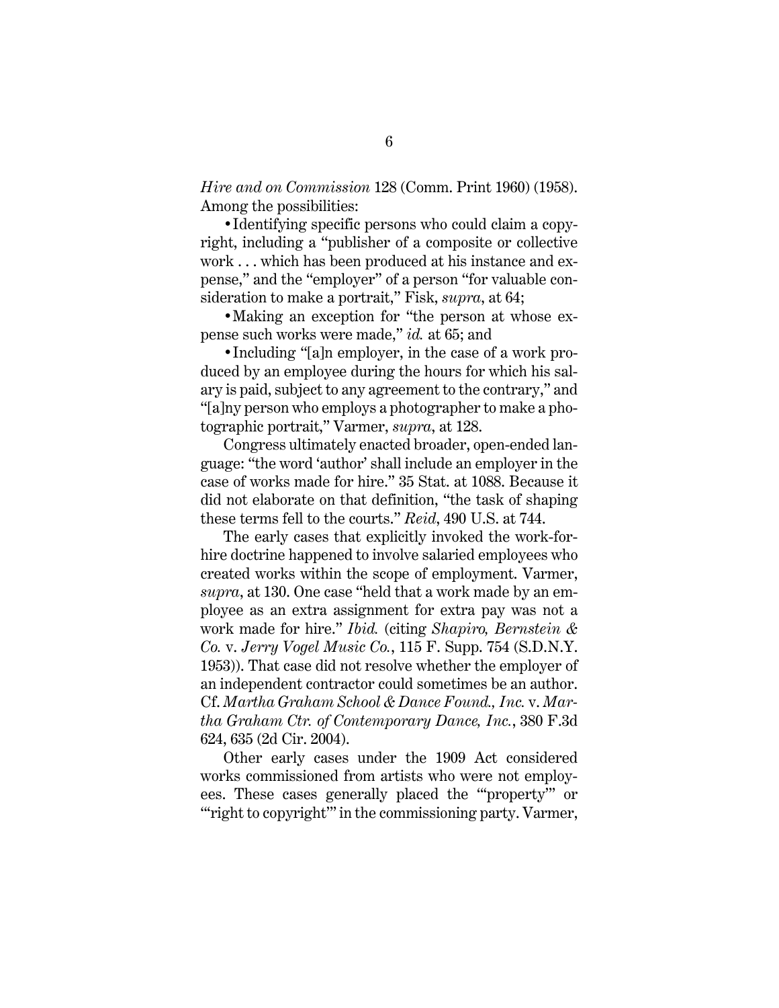*Hire and on Commission* 128 (Comm. Print 1960) (1958). Among the possibilities:

•Identifying specific persons who could claim a copyright, including a "publisher of a composite or collective work . . . which has been produced at his instance and expense," and the "employer" of a person "for valuable consideration to make a portrait," Fisk, *supra*, at 64;

•Making an exception for "the person at whose expense such works were made," *id.* at 65; and

•Including "[a]n employer, in the case of a work produced by an employee during the hours for which his salary is paid, subject to any agreement to the contrary," and "[a]ny person who employs a photographer to make a photographic portrait," Varmer, *supra*, at 128.

<span id="page-16-1"></span>Congress ultimately enacted broader, open-ended language: "the word 'author' shall include an employer in the case of works made for hire." 35 Stat. at 1088. Because it did not elaborate on that definition, "the task of shaping these terms fell to the courts." *Reid*, 490 U.S. at 744.

The early cases that explicitly invoked the work-forhire doctrine happened to involve salaried employees who created works within the scope of employment. Varmer, *supra*, at 130. One case "held that a work made by an employee as an extra assignment for extra pay was not a work made for hire." *Ibid.* (citing *Shapiro, Bernstein & Co.* v. *Jerry Vogel Music Co.*, 115 F. Supp. 754 (S.D.N.Y. 1953)). That case did not resolve whether the employer of an independent contractor could sometimes be an author. Cf. *Martha Graham School & Dance Found., Inc.* v. *Martha Graham Ctr. of Contemporary Dance, Inc.*, 380 F.3d 624, 635 (2d Cir. 2004).

<span id="page-16-0"></span>Other early cases under the 1909 Act considered works commissioned from artists who were not employees. These cases generally placed the "'property'" or "right to copyright" in the commissioning party. Varmer,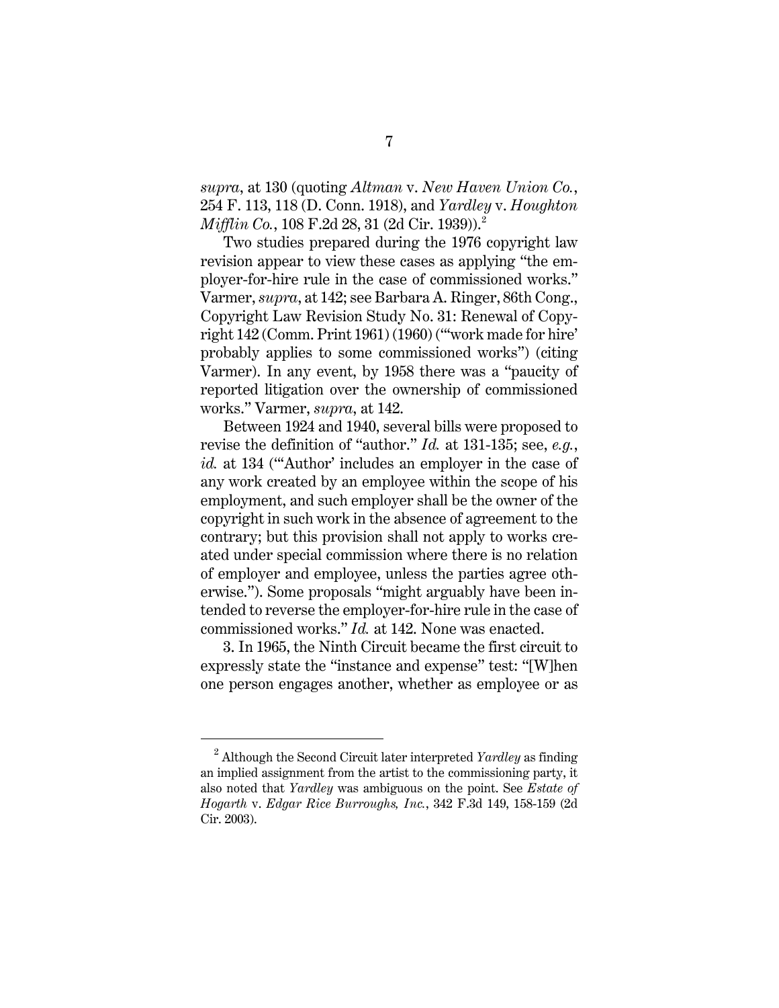*supra*, at 130 (quoting *Altman* v. *New Haven Union Co.*, 254 F. 113, 118 (D. Conn. 1918), and *Yardley* v. *Houghton Mifflin Co.,* 108 F.[2](#page-17-3)d 28, 31 (2d Cir. 1939)).<sup>2</sup>

<span id="page-17-2"></span>Two studies prepared during the 1976 copyright law revision appear to view these cases as applying "the employer-for-hire rule in the case of commissioned works." Varmer, *supra*, at 142; see Barbara A. Ringer, 86th Cong., Copyright Law Revision Study No. 31: Renewal of Copyright 142 (Comm. Print 1961) (1960) ("'work made for hire' probably applies to some commissioned works") (citing Varmer). In any event, by 1958 there was a "paucity of reported litigation over the ownership of commissioned works." Varmer, *supra*, at 142.

Between 1924 and 1940, several bills were proposed to revise the definition of "author." *Id.* at 131-135; see, *e.g.*, *id.* at 134 ("'Author' includes an employer in the case of any work created by an employee within the scope of his employment, and such employer shall be the owner of the copyright in such work in the absence of agreement to the contrary; but this provision shall not apply to works created under special commission where there is no relation of employer and employee, unless the parties agree otherwise."). Some proposals "might arguably have been intended to reverse the employer-for-hire rule in the case of commissioned works." *Id.* at 142. None was enacted.

3. In 1965, the Ninth Circuit became the first circuit to expressly state the "instance and expense" test: "[W]hen one person engages another, whether as employee or as

<span id="page-17-3"></span><span id="page-17-1"></span><span id="page-17-0"></span><sup>2</sup> Although the Second Circuit later interpreted *Yardley* as finding an implied assignment from the artist to the commissioning party, it also noted that *Yardley* was ambiguous on the point. See *Estate of Hogarth* v. *Edgar Rice Burroughs, Inc.*, 342 F.3d 149, 158-159 (2d Cir. 2003).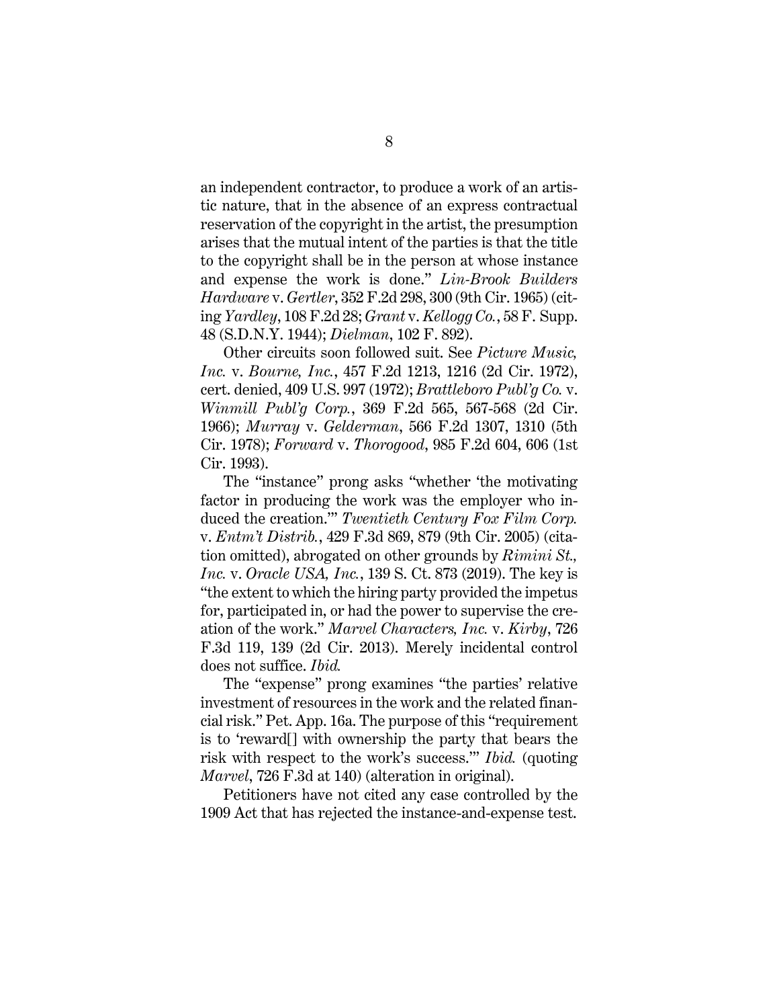an independent contractor, to produce a work of an artistic nature, that in the absence of an express contractual reservation of the copyright in the artist, the presumption arises that the mutual intent of the parties is that the title to the copyright shall be in the person at whose instance and expense the work is done." *Lin-Brook Builders Hardware* v. *Gertler*, 352 F.2d 298, 300 (9th Cir. 1965) (citing *Yardley*, 108 F.2d 28; *Grant* v. *Kellogg Co.*, 58 F. Supp. 48 (S.D.N.Y. 1944); *Dielman*, 102 F. 892).

<span id="page-18-5"></span><span id="page-18-2"></span><span id="page-18-0"></span>Other circuits soon followed suit. See *Picture Music, Inc.* v. *Bourne, Inc.*, 457 F.2d 1213, 1216 (2d Cir. 1972), cert. denied, 409 U.S. 997 (1972); *Brattleboro Publ'g Co.* v. *Winmill Publ'g Corp.*, 369 F.2d 565, 567-568 (2d Cir. 1966); *Murray* v. *Gelderman*, 566 F.2d 1307, 1310 (5th Cir. 1978); *Forward* v. *Thorogood*, 985 F.2d 604, 606 (1st Cir. 1993).

<span id="page-18-6"></span><span id="page-18-4"></span><span id="page-18-1"></span>The "instance" prong asks "whether 'the motivating factor in producing the work was the employer who induced the creation.'" *Twentieth Century Fox Film Corp.* v. *Entm't Distrib.*, 429 F.3d 869, 879 (9th Cir. 2005) (citation omitted), abrogated on other grounds by *Rimini St., Inc.* v. *Oracle USA, Inc.*, 139 S. Ct. 873 (2019). The key is "the extent to which the hiring party provided the impetus for, participated in, or had the power to supervise the creation of the work." *Marvel Characters, Inc.* v. *Kirby*, 726 F.3d 119, 139 (2d Cir. 2013). Merely incidental control does not suffice. *Ibid.*

<span id="page-18-3"></span>The "expense" prong examines "the parties' relative investment of resources in the work and the related financial risk." Pet. App. 16a. The purpose of this "requirement is to 'reward[] with ownership the party that bears the risk with respect to the work's success.'" *Ibid.* (quoting *Marvel*, 726 F.3d at 140) (alteration in original).

Petitioners have not cited any case controlled by the 1909 Act that has rejected the instance-and-expense test.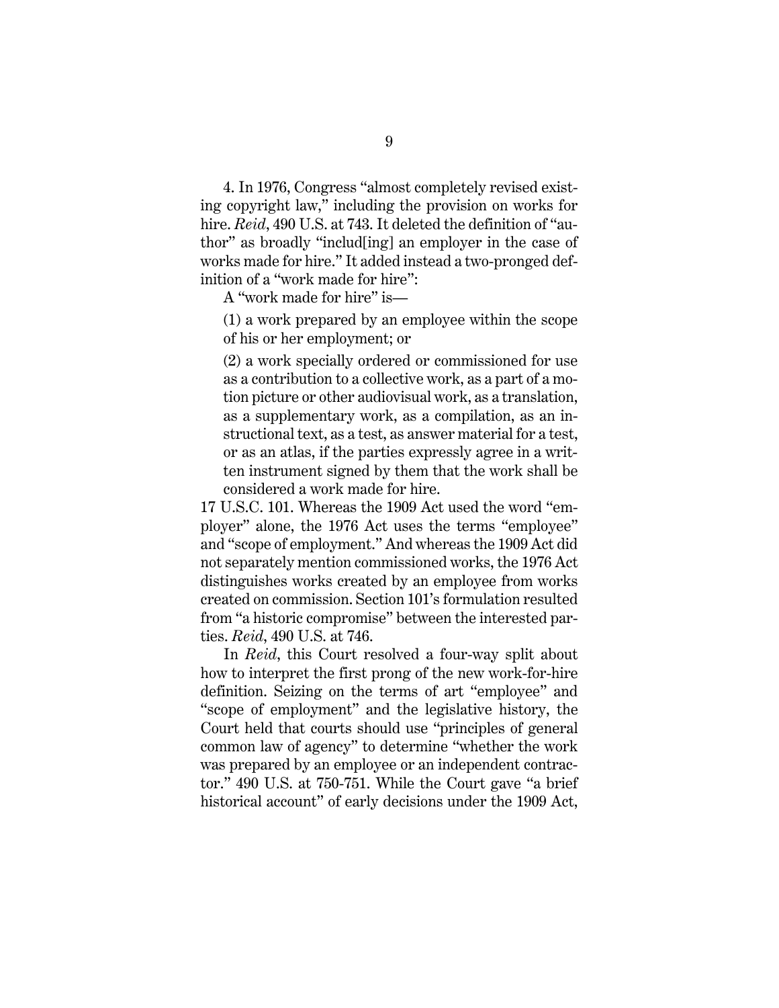4. In 1976, Congress "almost completely revised existing copyright law," including the provision on works for hire. *Reid*, 490 U.S. at 743. It deleted the definition of "author" as broadly "includ[ing] an employer in the case of works made for hire." It added instead a two-pronged definition of a "work made for hire":

A "work made for hire" is—

(1) a work prepared by an employee within the scope of his or her employment; or

(2) a work specially ordered or commissioned for use as a contribution to a collective work, as a part of a motion picture or other audiovisual work, as a translation, as a supplementary work, as a compilation, as an instructional text, as a test, as answer material for a test, or as an atlas, if the parties expressly agree in a written instrument signed by them that the work shall be considered a work made for hire.

<span id="page-19-0"></span>17 U.S.C. 101. Whereas the 1909 Act used the word "employer" alone, the 1976 Act uses the terms "employee" and "scope of employment." And whereas the 1909 Act did not separately mention commissioned works, the 1976 Act distinguishes works created by an employee from works created on commission. Section 101's formulation resulted from "a historic compromise" between the interested parties. *Reid*, 490 U.S. at 746.

In *Reid*, this Court resolved a four-way split about how to interpret the first prong of the new work-for-hire definition. Seizing on the terms of art "employee" and "scope of employment" and the legislative history, the Court held that courts should use "principles of general common law of agency" to determine "whether the work was prepared by an employee or an independent contractor." 490 U.S. at 750-751. While the Court gave "a brief historical account" of early decisions under the 1909 Act,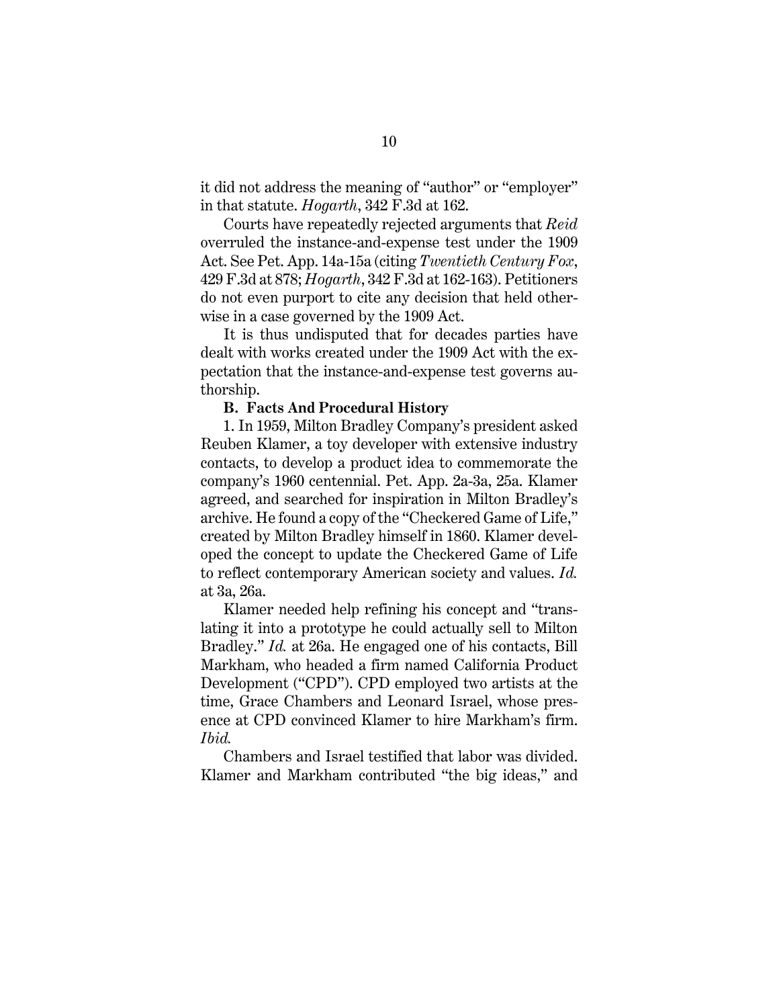<span id="page-20-0"></span>it did not address the meaning of "author" or "employer" in that statute. *Hogarth*, 342 F.3d at 162.

Courts have repeatedly rejected arguments that *Reid* overruled the instance-and-expense test under the 1909 Act. See Pet. App. 14a-15a (citing *Twentieth Century Fox*, 429 F.3d at 878; *Hogarth*, 342 F.3d at 162-163). Petitioners do not even purport to cite any decision that held otherwise in a case governed by the 1909 Act.

It is thus undisputed that for decades parties have dealt with works created under the 1909 Act with the expectation that the instance-and-expense test governs authorship.

#### **B. Facts And Procedural History**

1. In 1959, Milton Bradley Company's president asked Reuben Klamer, a toy developer with extensive industry contacts, to develop a product idea to commemorate the company's 1960 centennial. Pet. App. 2a-3a, 25a. Klamer agreed, and searched for inspiration in Milton Bradley's archive. He found a copy of the "Checkered Game of Life," created by Milton Bradley himself in 1860. Klamer developed the concept to update the Checkered Game of Life to reflect contemporary American society and values. *Id.* at 3a, 26a.

Klamer needed help refining his concept and "translating it into a prototype he could actually sell to Milton Bradley." *Id.* at 26a. He engaged one of his contacts, Bill Markham, who headed a firm named California Product Development ("CPD"). CPD employed two artists at the time, Grace Chambers and Leonard Israel, whose presence at CPD convinced Klamer to hire Markham's firm. *Ibid.*

Chambers and Israel testified that labor was divided. Klamer and Markham contributed "the big ideas," and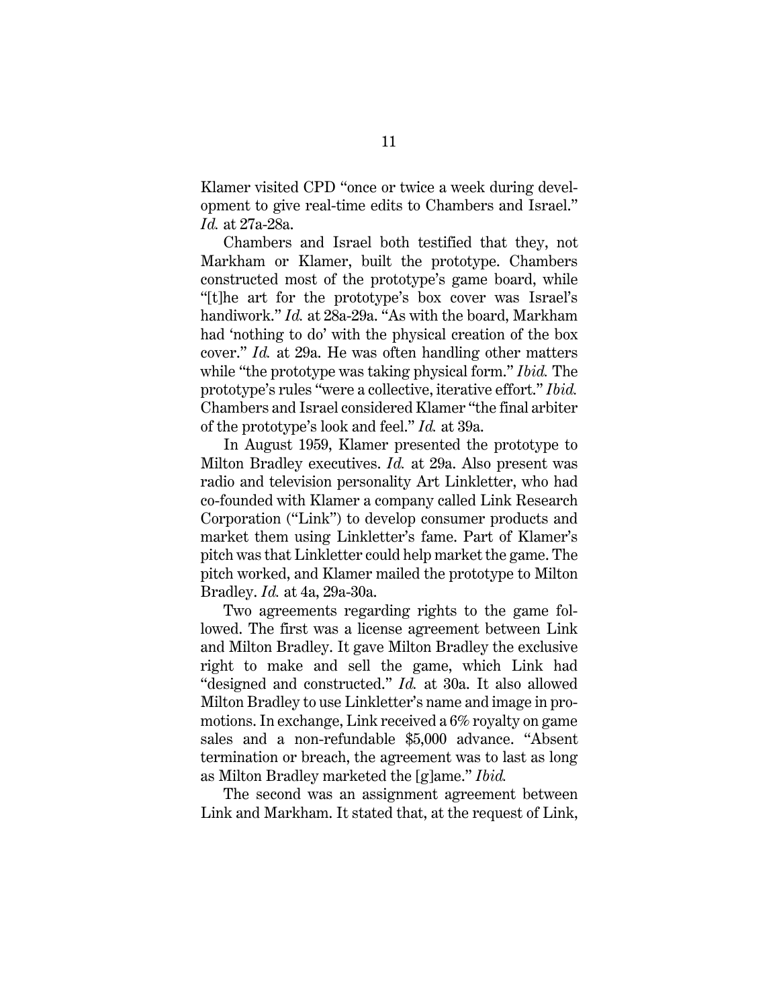Klamer visited CPD "once or twice a week during development to give real-time edits to Chambers and Israel." *Id.* at 27a-28a.

Chambers and Israel both testified that they, not Markham or Klamer, built the prototype. Chambers constructed most of the prototype's game board, while "[t]he art for the prototype's box cover was Israel's handiwork." *Id.* at 28a-29a. "As with the board, Markham had 'nothing to do' with the physical creation of the box cover." *Id.* at 29a. He was often handling other matters while "the prototype was taking physical form." *Ibid.* The prototype's rules "were a collective, iterative effort." *Ibid.* Chambers and Israel considered Klamer "the final arbiter of the prototype's look and feel." *Id.* at 39a.

In August 1959, Klamer presented the prototype to Milton Bradley executives. *Id.* at 29a. Also present was radio and television personality Art Linkletter, who had co-founded with Klamer a company called Link Research Corporation ("Link") to develop consumer products and market them using Linkletter's fame. Part of Klamer's pitch was that Linkletter could help market the game. The pitch worked, and Klamer mailed the prototype to Milton Bradley. *Id.* at 4a, 29a-30a.

Two agreements regarding rights to the game followed. The first was a license agreement between Link and Milton Bradley. It gave Milton Bradley the exclusive right to make and sell the game, which Link had "designed and constructed." *Id.* at 30a. It also allowed Milton Bradley to use Linkletter's name and image in promotions. In exchange, Link received a 6% royalty on game sales and a non-refundable \$5,000 advance. "Absent termination or breach, the agreement was to last as long as Milton Bradley marketed the [g]ame." *Ibid.*

The second was an assignment agreement between Link and Markham. It stated that, at the request of Link,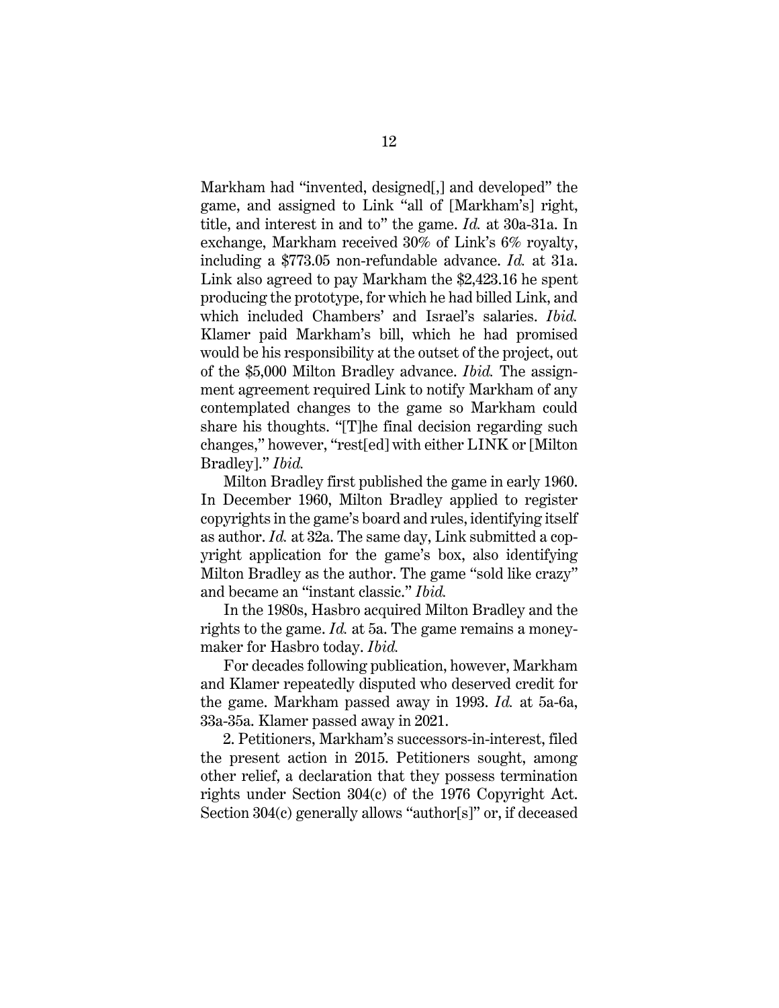Markham had "invented, designed[,] and developed" the game, and assigned to Link "all of [Markham's] right, title, and interest in and to" the game. *Id.* at 30a-31a. In exchange, Markham received 30% of Link's 6% royalty, including a \$773.05 non-refundable advance. *Id.* at 31a. Link also agreed to pay Markham the \$2,423.16 he spent producing the prototype, for which he had billed Link, and which included Chambers' and Israel's salaries. *Ibid.* Klamer paid Markham's bill, which he had promised would be his responsibility at the outset of the project, out of the \$5,000 Milton Bradley advance. *Ibid.* The assignment agreement required Link to notify Markham of any contemplated changes to the game so Markham could share his thoughts. "[T]he final decision regarding such changes," however, "rest[ed] with either LINK or [Milton Bradley]." *Ibid.*

Milton Bradley first published the game in early 1960. In December 1960, Milton Bradley applied to register copyrights in the game's board and rules, identifying itself as author. *Id.* at 32a. The same day, Link submitted a copyright application for the game's box, also identifying Milton Bradley as the author. The game "sold like crazy" and became an "instant classic." *Ibid.*

In the 1980s, Hasbro acquired Milton Bradley and the rights to the game. *Id.* at 5a. The game remains a moneymaker for Hasbro today. *Ibid.*

For decades following publication, however, Markham and Klamer repeatedly disputed who deserved credit for the game. Markham passed away in 1993. *Id.* at 5a-6a, 33a-35a. Klamer passed away in 2021.

2. Petitioners, Markham's successors-in-interest, filed the present action in 2015. Petitioners sought, among other relief, a declaration that they possess termination rights under Section 304(c) of the 1976 Copyright Act. Section 304(c) generally allows "author[s]" or, if deceased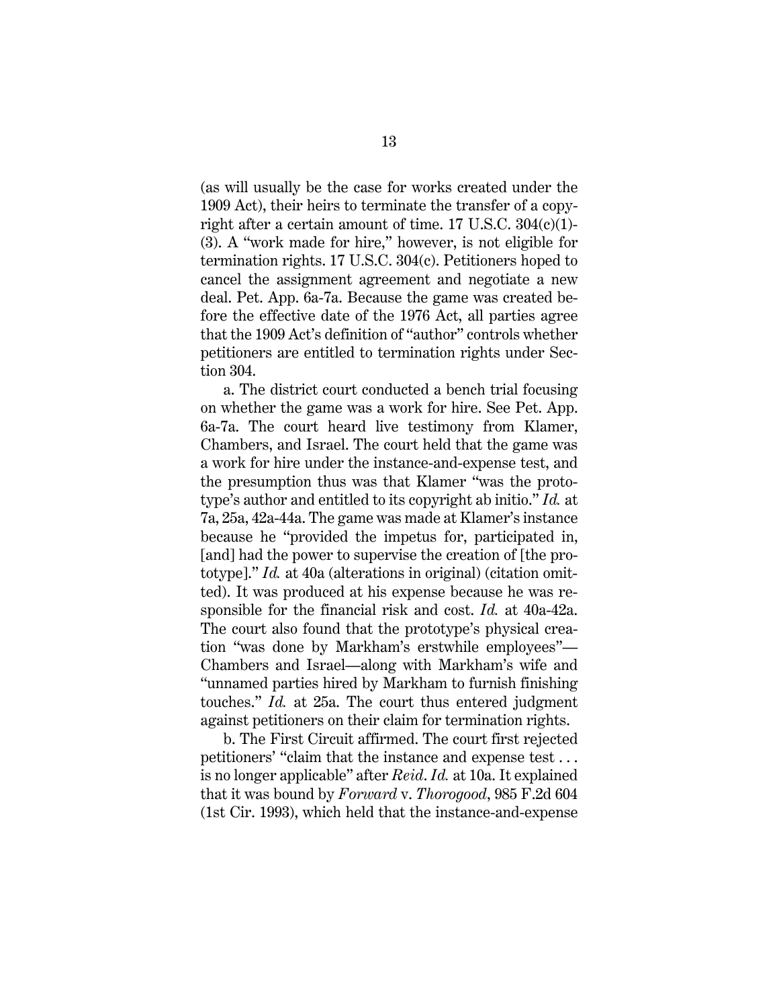<span id="page-23-2"></span><span id="page-23-1"></span>(as will usually be the case for works created under the 1909 Act), their heirs to terminate the transfer of a copyright after a certain amount of time. 17 U.S.C. 304(c)(1)- (3). A "work made for hire," however, is not eligible for termination rights. 17 U.S.C. 304(c). Petitioners hoped to cancel the assignment agreement and negotiate a new deal. Pet. App. 6a-7a. Because the game was created before the effective date of the 1976 Act, all parties agree that the 1909 Act's definition of "author" controls whether petitioners are entitled to termination rights under Section 304.

a. The district court conducted a bench trial focusing on whether the game was a work for hire. See Pet. App. 6a-7a. The court heard live testimony from Klamer, Chambers, and Israel. The court held that the game was a work for hire under the instance-and-expense test, and the presumption thus was that Klamer "was the prototype's author and entitled to its copyright ab initio." *Id.* at 7a, 25a, 42a-44a. The game was made at Klamer's instance because he "provided the impetus for, participated in, [and] had the power to supervise the creation of [the prototype]." *Id.* at 40a (alterations in original) (citation omitted). It was produced at his expense because he was responsible for the financial risk and cost. *Id.* at 40a-42a. The court also found that the prototype's physical creation "was done by Markham's erstwhile employees"— Chambers and Israel—along with Markham's wife and "unnamed parties hired by Markham to furnish finishing touches." *Id.* at 25a. The court thus entered judgment against petitioners on their claim for termination rights.

<span id="page-23-0"></span>b. The First Circuit affirmed. The court first rejected petitioners' "claim that the instance and expense test . . . is no longer applicable" after *Reid*. *Id.* at 10a. It explained that it was bound by *Forward* v. *Thorogood*, 985 F.2d 604 (1st Cir. 1993), which held that the instance-and-expense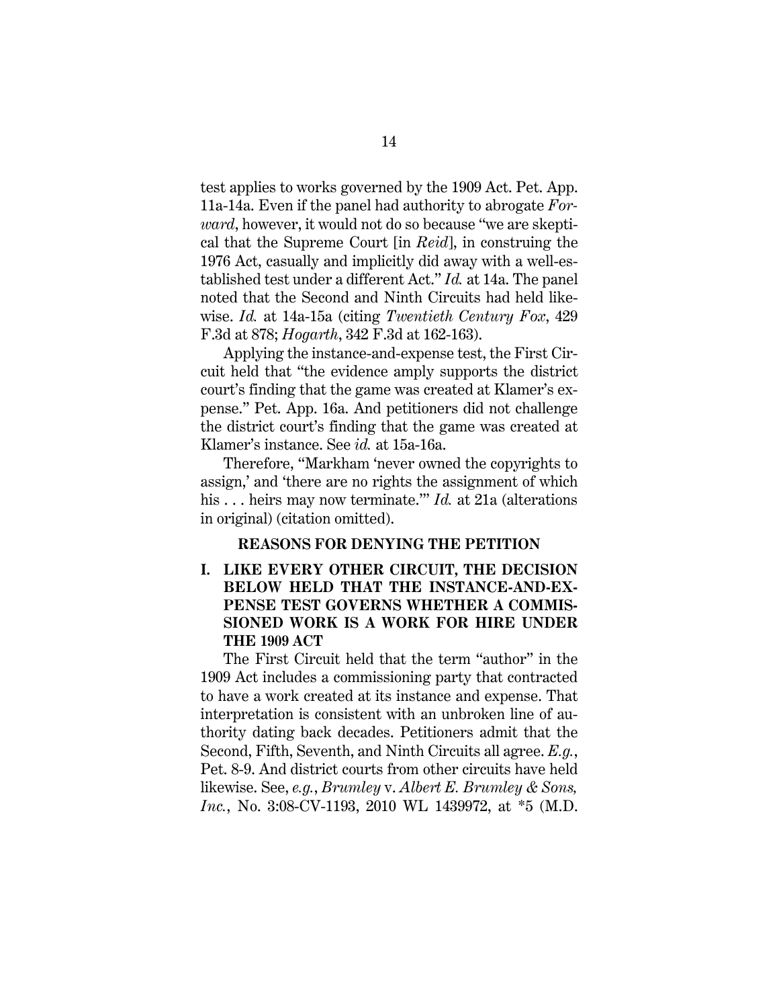<span id="page-24-1"></span>test applies to works governed by the 1909 Act. Pet. App. 11a-14a. Even if the panel had authority to abrogate *Forward*, however, it would not do so because "we are skeptical that the Supreme Court [in *Reid*], in construing the 1976 Act, casually and implicitly did away with a well-established test under a different Act." *Id.* at 14a. The panel noted that the Second and Ninth Circuits had held likewise. *Id.* at 14a-15a (citing *Twentieth Century Fox*, 429 F.3d at 878; *Hogarth*, 342 F.3d at 162-163).

Applying the instance-and-expense test, the First Circuit held that "the evidence amply supports the district court's finding that the game was created at Klamer's expense." Pet. App. 16a. And petitioners did not challenge the district court's finding that the game was created at Klamer's instance. See *id.* at 15a-16a.

Therefore, "Markham 'never owned the copyrights to assign,' and 'there are no rights the assignment of which his . . . heirs may now terminate.'" *Id.* at 21a (alterations in original) (citation omitted).

#### **REASONS FOR DENYING THE PETITION**

**I. LIKE EVERY OTHER CIRCUIT, THE DECISION BELOW HELD THAT THE INSTANCE-AND-EX-PENSE TEST GOVERNS WHETHER A COMMIS-SIONED WORK IS A WORK FOR HIRE UNDER THE 1909 ACT** 

<span id="page-24-0"></span>The First Circuit held that the term "author" in the 1909 Act includes a commissioning party that contracted to have a work created at its instance and expense. That interpretation is consistent with an unbroken line of authority dating back decades. Petitioners admit that the Second, Fifth, Seventh, and Ninth Circuits all agree. *E.g.*, Pet. 8-9. And district courts from other circuits have held likewise. See, *e.g.*, *Brumley* v. *Albert E. Brumley & Sons, Inc.*, No. 3:08-CV-1193, 2010 WL 1439972, at \*5 (M.D.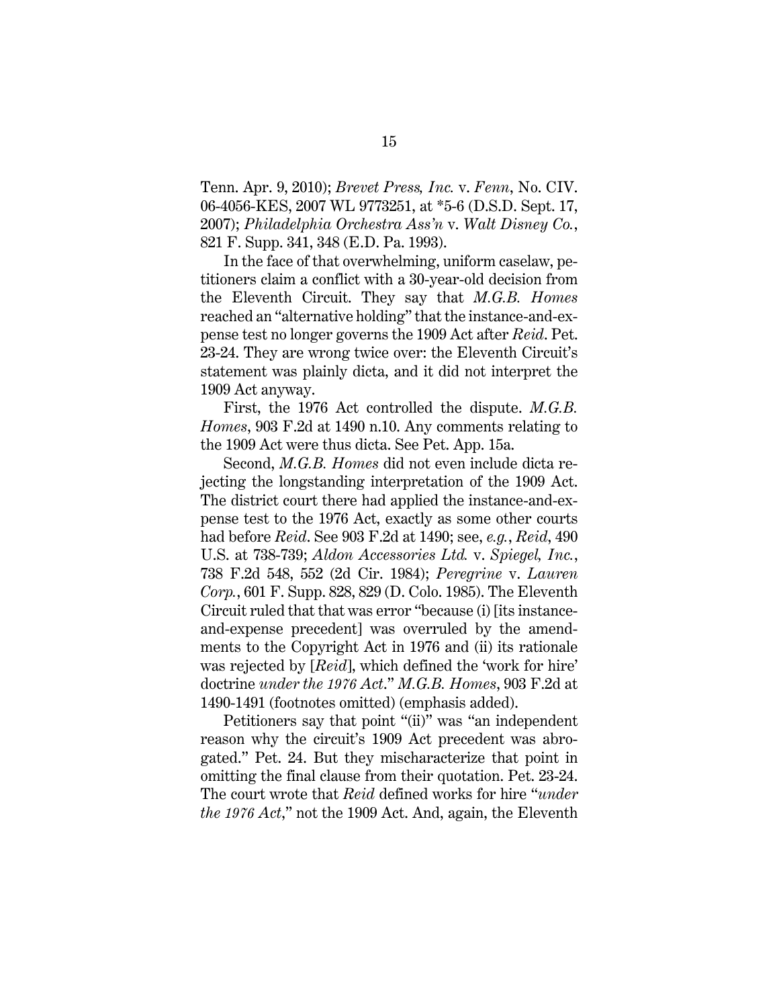<span id="page-25-4"></span><span id="page-25-1"></span>Tenn. Apr. 9, 2010); *Brevet Press, Inc.* v. *Fenn*, No. CIV. 06-4056-KES, 2007 WL 9773251, at \*5-6 (D.S.D. Sept. 17, 2007); *Philadelphia Orchestra Ass'n* v. *Walt Disney Co.*, 821 F. Supp. 341, 348 (E.D. Pa. 1993).

<span id="page-25-2"></span>In the face of that overwhelming, uniform caselaw, petitioners claim a conflict with a 30-year-old decision from the Eleventh Circuit. They say that *M.G.B. Homes* reached an "alternative holding" that the instance-and-expense test no longer governs the 1909 Act after *Reid*. Pet. 23-24. They are wrong twice over: the Eleventh Circuit's statement was plainly dicta, and it did not interpret the 1909 Act anyway.

First, the 1976 Act controlled the dispute. *M.G.B. Homes*, 903 F.2d at 1490 n.10. Any comments relating to the 1909 Act were thus dicta. See Pet. App. 15a.

<span id="page-25-3"></span><span id="page-25-0"></span>Second, *M.G.B. Homes* did not even include dicta rejecting the longstanding interpretation of the 1909 Act. The district court there had applied the instance-and-expense test to the 1976 Act, exactly as some other courts had before *Reid*. See 903 F.2d at 1490; see, *e.g.*, *Reid*, 490 U.S. at 738-739; *Aldon Accessories Ltd.* v. *Spiegel, Inc.*, 738 F.2d 548, 552 (2d Cir. 1984); *Peregrine* v. *Lauren Corp.*, 601 F. Supp. 828, 829 (D. Colo. 1985). The Eleventh Circuit ruled that that was error "because (i) [its instanceand-expense precedent] was overruled by the amendments to the Copyright Act in 1976 and (ii) its rationale was rejected by [*Reid*], which defined the 'work for hire' doctrine *under the 1976 Act*." *M.G.B. Homes*, 903 F.2d at 1490-1491 (footnotes omitted) (emphasis added).

Petitioners say that point "(ii)" was "an independent reason why the circuit's 1909 Act precedent was abrogated." Pet. 24. But they mischaracterize that point in omitting the final clause from their quotation. Pet. 23-24. The court wrote that *Reid* defined works for hire "*under the 1976 Act*," not the 1909 Act. And, again, the Eleventh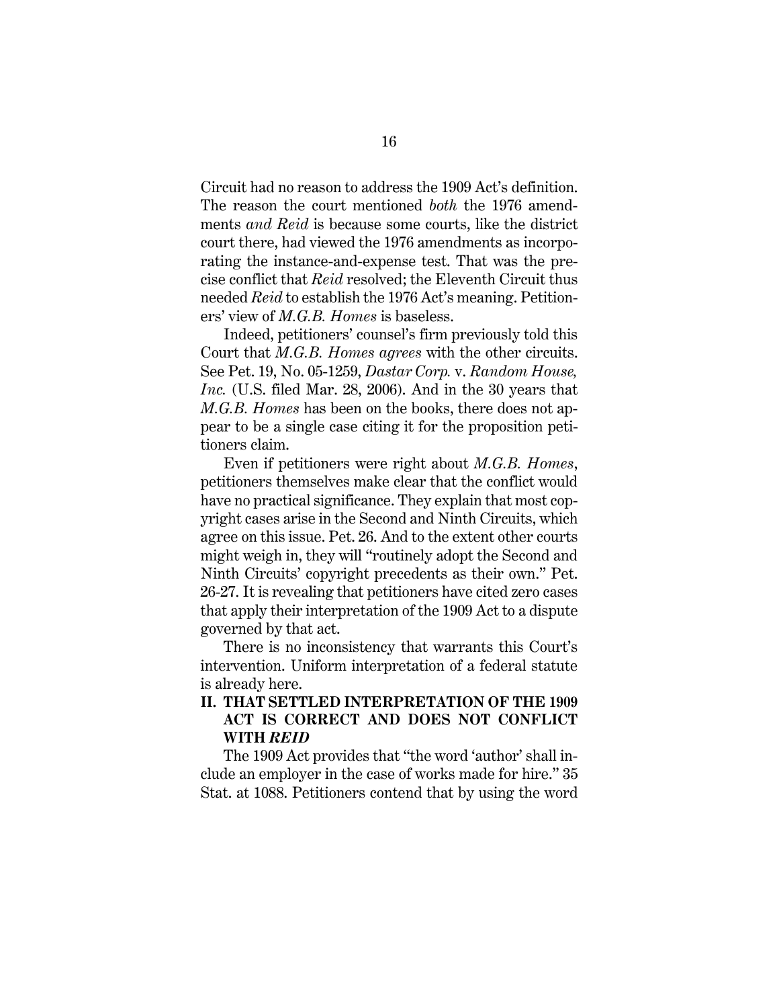Circuit had no reason to address the 1909 Act's definition. The reason the court mentioned *both* the 1976 amendments *and Reid* is because some courts, like the district court there, had viewed the 1976 amendments as incorporating the instance-and-expense test. That was the precise conflict that *Reid* resolved; the Eleventh Circuit thus needed *Reid* to establish the 1976 Act's meaning. Petitioners' view of *M.G.B. Homes* is baseless.

<span id="page-26-2"></span><span id="page-26-0"></span>Indeed, petitioners' counsel's firm previously told this Court that *M.G.B. Homes agrees* with the other circuits. See Pet. 19, No. 05-1259, *Dastar Corp.* v. *Random House, Inc.* (U.S. filed Mar. 28, 2006). And in the 30 years that *M.G.B. Homes* has been on the books, there does not appear to be a single case citing it for the proposition petitioners claim.

Even if petitioners were right about *M.G.B. Homes*, petitioners themselves make clear that the conflict would have no practical significance. They explain that most copyright cases arise in the Second and Ninth Circuits, which agree on this issue. Pet. 26. And to the extent other courts might weigh in, they will "routinely adopt the Second and Ninth Circuits' copyright precedents as their own." Pet. 26-27. It is revealing that petitioners have cited zero cases that apply their interpretation of the 1909 Act to a dispute governed by that act.

There is no inconsistency that warrants this Court's intervention. Uniform interpretation of a federal statute is already here.

### **II. THAT SETTLED INTERPRETATION OF THE 1909 ACT IS CORRECT AND DOES NOT CONFLICT WITH** *REID*

<span id="page-26-1"></span>The 1909 Act provides that "the word 'author' shall include an employer in the case of works made for hire." 35 Stat. at 1088. Petitioners contend that by using the word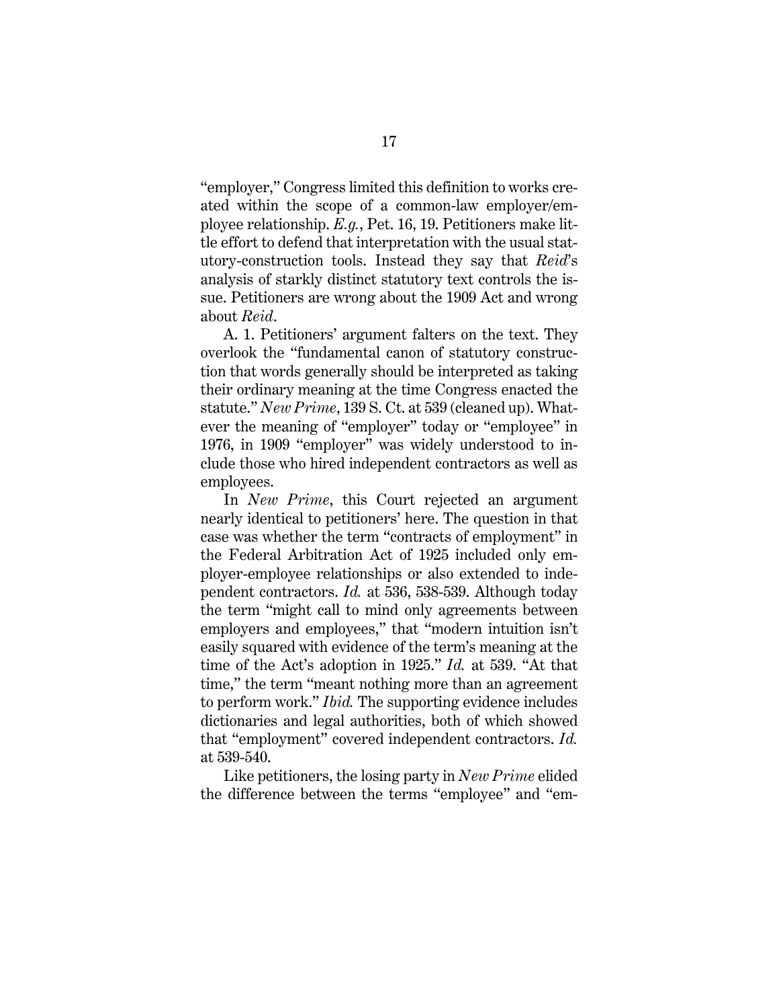"employer," Congress limited this definition to works created within the scope of a common-law employer/employee relationship. *E.g.*, Pet. 16, 19. Petitioners make little effort to defend that interpretation with the usual statutory-construction tools. Instead they say that *Reid*'s analysis of starkly distinct statutory text controls the issue. Petitioners are wrong about the 1909 Act and wrong about *Reid*.

A. 1. Petitioners' argument falters on the text. They overlook the "fundamental canon of statutory construction that words generally should be interpreted as taking their ordinary meaning at the time Congress enacted the statute." *New Prime*, 139 S. Ct. at 539 (cleaned up). Whatever the meaning of "employer" today or "employee" in 1976, in 1909 "employer" was widely understood to include those who hired independent contractors as well as employees.

In *New Prime*, this Court rejected an argument nearly identical to petitioners' here. The question in that case was whether the term "contracts of employment" in the Federal Arbitration Act of 1925 included only employer-employee relationships or also extended to independent contractors. *Id.* at 536, 538-539. Although today the term "might call to mind only agreements between employers and employees," that "modern intuition isn't easily squared with evidence of the term's meaning at the time of the Act's adoption in 1925." *Id.* at 539. "At that time," the term "meant nothing more than an agreement to perform work." *Ibid.* The supporting evidence includes dictionaries and legal authorities, both of which showed that "employment" covered independent contractors. *Id.* at 539-540.

Like petitioners, the losing party in *New Prime* elided the difference between the terms "employee" and "em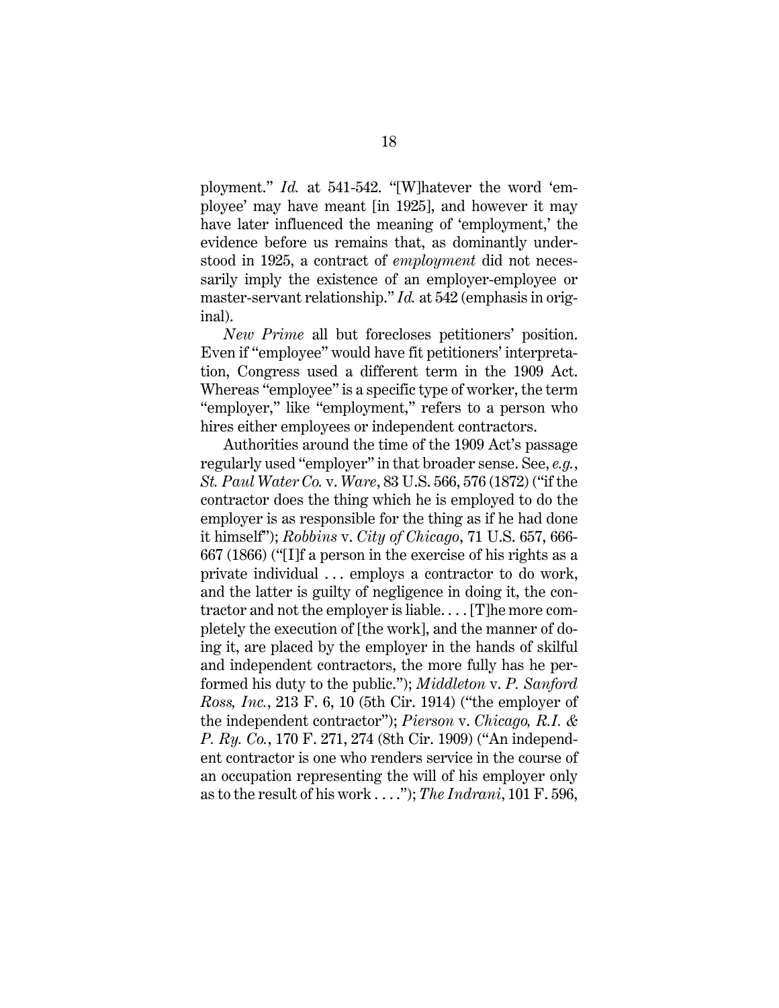ployment." *Id.* at 541-542. "[W]hatever the word 'employee' may have meant [in 1925], and however it may have later influenced the meaning of 'employment,' the evidence before us remains that, as dominantly understood in 1925, a contract of *employment* did not necessarily imply the existence of an employer-employee or master-servant relationship." *Id.* at 542 (emphasis in original).

*New Prime* all but forecloses petitioners' position. Even if "employee" would have fit petitioners' interpretation, Congress used a different term in the 1909 Act. Whereas "employee" is a specific type of worker, the term "employer," like "employment," refers to a person who hires either employees or independent contractors.

<span id="page-28-4"></span><span id="page-28-3"></span><span id="page-28-2"></span><span id="page-28-1"></span><span id="page-28-0"></span>Authorities around the time of the 1909 Act's passage regularly used "employer" in that broader sense. See, *e.g.*, *St. Paul Water Co.* v. *Ware*, 83 U.S. 566, 576 (1872) ("if the contractor does the thing which he is employed to do the employer is as responsible for the thing as if he had done it himself"); *Robbins* v. *City of Chicago*, 71 U.S. 657, 666- 667 (1866) ("[I]f a person in the exercise of his rights as a private individual . . . employs a contractor to do work, and the latter is guilty of negligence in doing it, the contractor and not the employer is liable. . . . [T]he more completely the execution of [the work], and the manner of doing it, are placed by the employer in the hands of skilful and independent contractors, the more fully has he performed his duty to the public."); *Middleton* v. *P. Sanford Ross, Inc.*, 213 F. 6, 10 (5th Cir. 1914) ("the employer of the independent contractor"); *Pierson* v. *Chicago, R.I. & P. Ry. Co.*, 170 F. 271, 274 (8th Cir. 1909) ("An independent contractor is one who renders service in the course of an occupation representing the will of his employer only as to the result of his work . . . ."); *The Indrani*, 101 F. 596,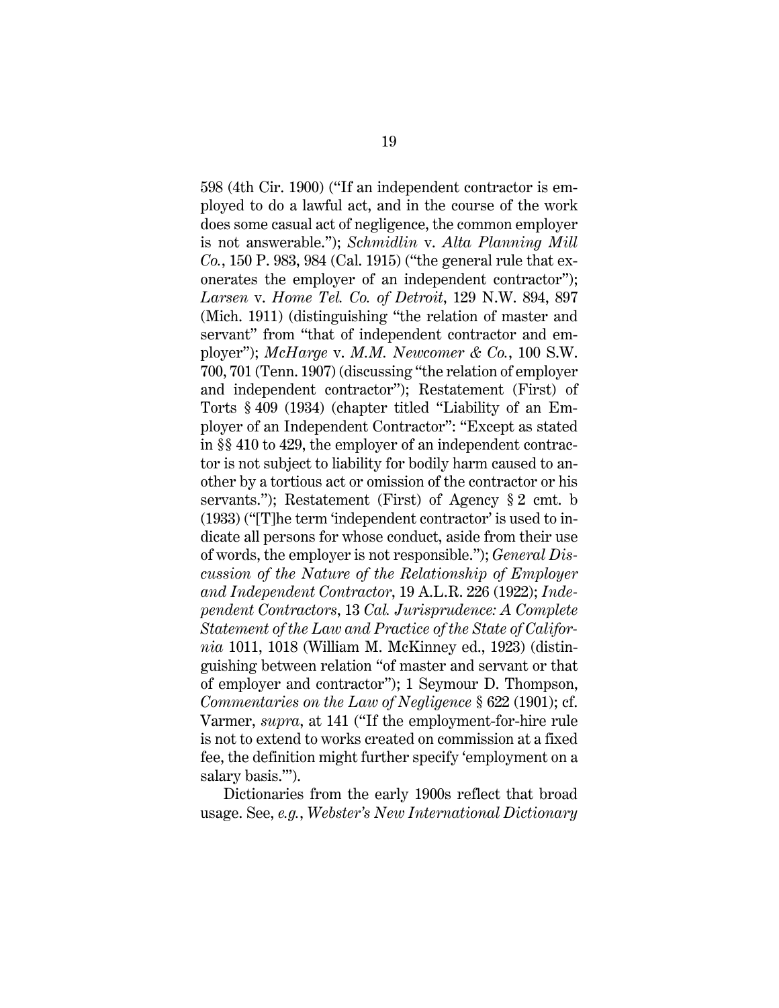<span id="page-29-6"></span><span id="page-29-2"></span><span id="page-29-1"></span><span id="page-29-0"></span>598 (4th Cir. 1900) ("If an independent contractor is employed to do a lawful act, and in the course of the work does some casual act of negligence, the common employer is not answerable."); *Schmidlin* v. *Alta Planning Mill Co.*, 150 P. 983, 984 (Cal. 1915) ("the general rule that exonerates the employer of an independent contractor"); *Larsen* v. *Home Tel. Co. of Detroit*, 129 N.W. 894, 897 (Mich. 1911) (distinguishing "the relation of master and servant" from "that of independent contractor and employer"); *McHarge* v. *M.M. Newcomer & Co.*, 100 S.W. 700, 701 (Tenn. 1907) (discussing "the relation of employer and independent contractor"); Restatement (First) of Torts § 409 (1934) (chapter titled "Liability of an Employer of an Independent Contractor": "Except as stated in §§ 410 to 429, the employer of an independent contractor is not subject to liability for bodily harm caused to another by a tortious act or omission of the contractor or his servants."); Restatement (First) of Agency § 2 cmt. b (1933) ("[T]he term 'independent contractor' is used to indicate all persons for whose conduct, aside from their use of words, the employer is not responsible."); *General Discussion of the Nature of the Relationship of Employer and Independent Contractor*, 19 A.L.R. 226 (1922); *Independent Contractors*, 13 *Cal. Jurisprudence: A Complete Statement of the Law and Practice of the State of California* 1011, 1018 (William M. McKinney ed., 1923) (distinguishing between relation "of master and servant or that of employer and contractor"); 1 Seymour D. Thompson, *Commentaries on the Law of Negligence* § 622 (1901); cf. Varmer, *supra*, at 141 ("If the employment-for-hire rule is not to extend to works created on commission at a fixed fee, the definition might further specify 'employment on a salary basis.'").

<span id="page-29-8"></span><span id="page-29-7"></span><span id="page-29-5"></span><span id="page-29-4"></span><span id="page-29-3"></span>Dictionaries from the early 1900s reflect that broad usage. See, *e.g.*, *Webster's New International Dictionary*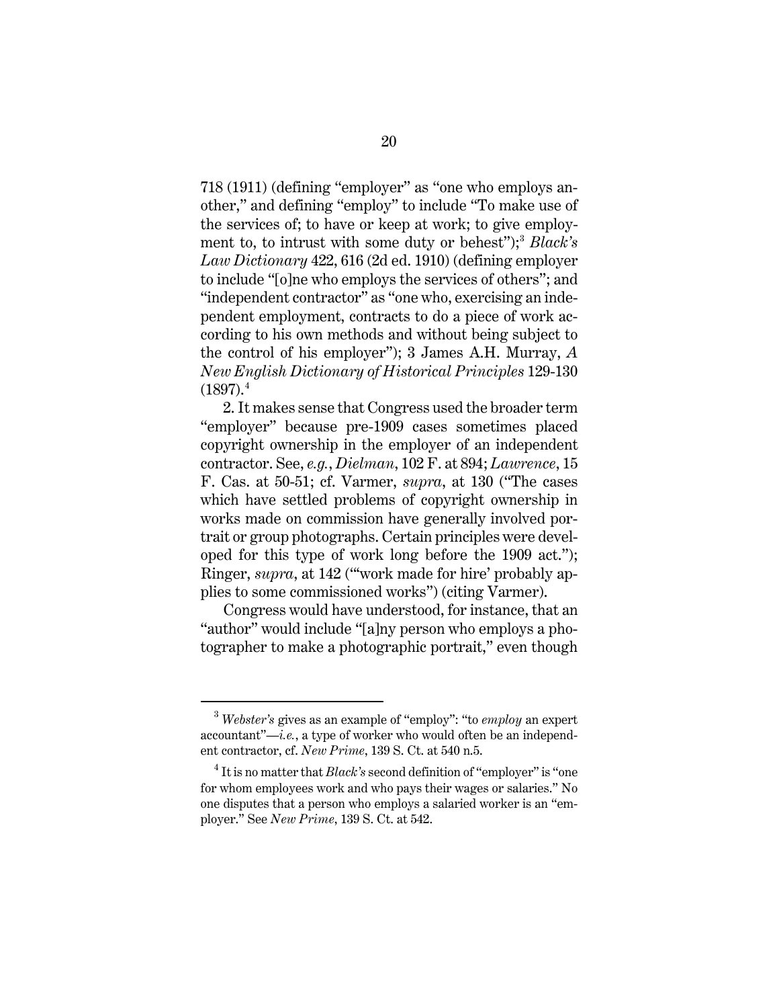<span id="page-30-2"></span>718 (1911) (defining "employer" as "one who employs another," and defining "employ" to include "To make use of the services of; to have or keep at work; to give employ-ment to, to intrust with some duty or behest");<sup>[3](#page-30-4)</sup> *Black's Law Dictionary* 422, 616 (2d ed. 1910) (defining employer to include "[o]ne who employs the services of others"; and "independent contractor" as "one who, exercising an independent employment, contracts to do a piece of work according to his own methods and without being subject to the control of his employer"); 3 James A.H. Murray, *A New English Dictionary of Historical Principles* 129-130  $(1897).<sup>4</sup>$  $(1897).<sup>4</sup>$  $(1897).<sup>4</sup>$ 

<span id="page-30-3"></span><span id="page-30-1"></span><span id="page-30-0"></span>2. It makes sense that Congress used the broader term "employer" because pre-1909 cases sometimes placed copyright ownership in the employer of an independent contractor. See, *e.g.*, *Dielman*, 102 F. at 894; *Lawrence*, 15 F. Cas. at 50-51; cf. Varmer, *supra*, at 130 ("The cases which have settled problems of copyright ownership in works made on commission have generally involved portrait or group photographs. Certain principles were developed for this type of work long before the 1909 act."); Ringer, *supra*, at 142 ("work made for hire' probably applies to some commissioned works") (citing Varmer).

Congress would have understood, for instance, that an "author" would include "[a]ny person who employs a photographer to make a photographic portrait," even though

<span id="page-30-4"></span><sup>3</sup> *Webster's* gives as an example of "employ": "to *employ* an expert accountant"—*i.e.*, a type of worker who would often be an independent contractor, cf. *New Prime*, 139 S. Ct. at 540 n.5.

<span id="page-30-5"></span><sup>&</sup>lt;sup>4</sup> It is no matter that *Black's* second definition of "employer" is "one for whom employees work and who pays their wages or salaries." No one disputes that a person who employs a salaried worker is an "employer." See *New Prime*, 139 S. Ct. at 542.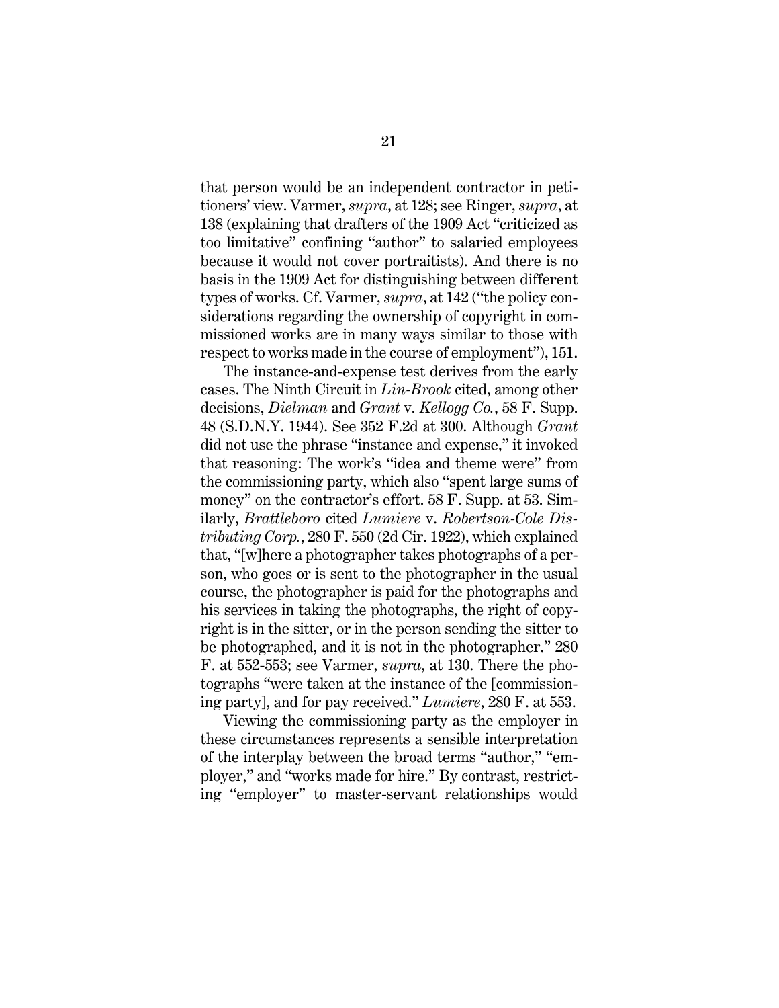that person would be an independent contractor in petitioners' view. Varmer, *supra*, at 128; see Ringer, *supra*, at 138 (explaining that drafters of the 1909 Act "criticized as too limitative" confining "author" to salaried employees because it would not cover portraitists). And there is no basis in the 1909 Act for distinguishing between different types of works. Cf. Varmer, *supra*, at 142 ("the policy considerations regarding the ownership of copyright in commissioned works are in many ways similar to those with respect to works made in the course of employment"), 151.

<span id="page-31-4"></span><span id="page-31-3"></span><span id="page-31-2"></span><span id="page-31-1"></span><span id="page-31-0"></span>The instance-and-expense test derives from the early cases. The Ninth Circuit in *Lin-Brook* cited, among other decisions, *Dielman* and *Grant* v. *Kellogg Co.*, 58 F. Supp. 48 (S.D.N.Y. 1944). See 352 F.2d at 300. Although *Grant*  did not use the phrase "instance and expense," it invoked that reasoning: The work's "idea and theme were" from the commissioning party, which also "spent large sums of money" on the contractor's effort. 58 F. Supp. at 53. Similarly, *Brattleboro* cited *Lumiere* v. *Robertson-Cole Distributing Corp.*, 280 F. 550 (2d Cir. 1922), which explained that, "[w]here a photographer takes photographs of a person, who goes or is sent to the photographer in the usual course, the photographer is paid for the photographs and his services in taking the photographs, the right of copyright is in the sitter, or in the person sending the sitter to be photographed, and it is not in the photographer." 280 F. at 552-553; see Varmer, *supra*, at 130. There the photographs "were taken at the instance of the [commissioning party], and for pay received." *Lumiere*, 280 F. at 553.

Viewing the commissioning party as the employer in these circumstances represents a sensible interpretation of the interplay between the broad terms "author," "employer," and "works made for hire." By contrast, restricting "employer" to master-servant relationships would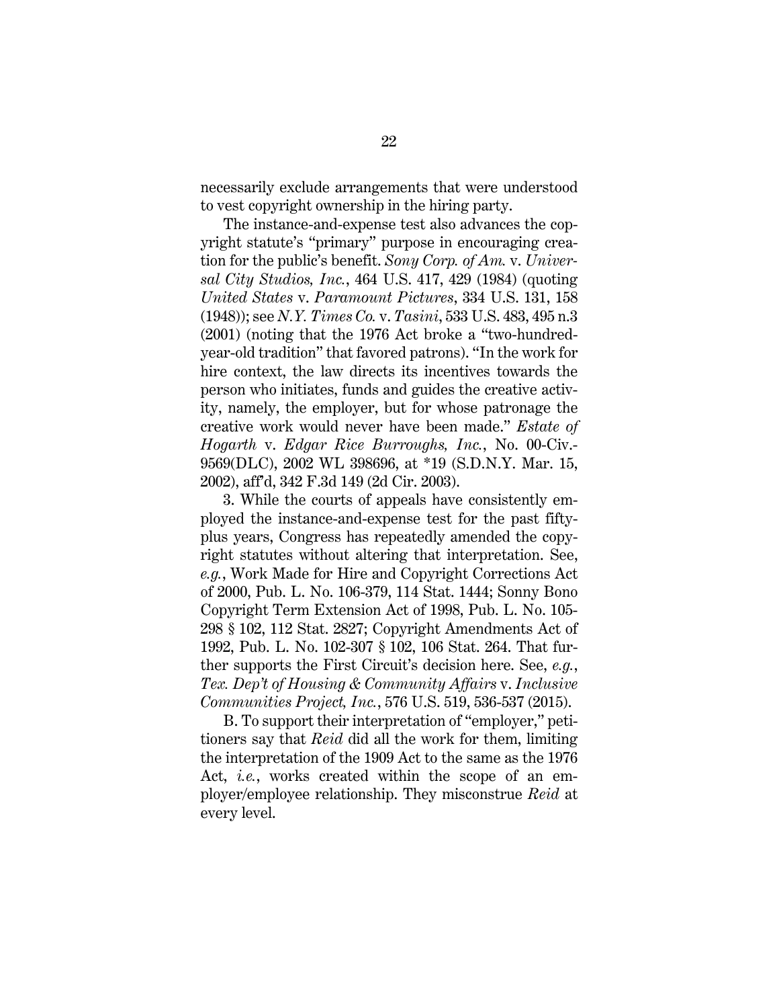necessarily exclude arrangements that were understood to vest copyright ownership in the hiring party.

<span id="page-32-2"></span><span id="page-32-1"></span>The instance-and-expense test also advances the copyright statute's "primary" purpose in encouraging creation for the public's benefit. *Sony Corp. of Am.* v. *Universal City Studios, Inc.*, 464 U.S. 417, 429 (1984) (quoting *United States* v. *Paramount Pictures*, 334 U.S. 131, 158 (1948)); see *N.Y. Times Co.* v. *Tasini*, 533 U.S. 483, 495 n.3 (2001) (noting that the 1976 Act broke a "two-hundredyear-old tradition" that favored patrons). "In the work for hire context, the law directs its incentives towards the person who initiates, funds and guides the creative activity, namely, the employer, but for whose patronage the creative work would never have been made." *Estate of Hogarth* v. *Edgar Rice Burroughs, Inc.*, No. 00-Civ.- 9569(DLC), 2002 WL 398696, at \*19 (S.D.N.Y. Mar. 15, 2002), aff'd, 342 F.3d 149 (2d Cir. 2003).

<span id="page-32-6"></span><span id="page-32-5"></span><span id="page-32-0"></span>3. While the courts of appeals have consistently employed the instance-and-expense test for the past fiftyplus years, Congress has repeatedly amended the copyright statutes without altering that interpretation. See, *e.g.*, Work Made for Hire and Copyright Corrections Act of 2000, Pub. L. No. 106-379, 114 Stat. 1444; Sonny Bono Copyright Term Extension Act of 1998, Pub. L. No. 105- 298 § 102, 112 Stat. 2827; Copyright Amendments Act of 1992, Pub. L. No. 102-307 § 102, 106 Stat. 264. That further supports the First Circuit's decision here. See, *e.g.*, *Tex. Dep't of Housing & Community Affairs* v. *Inclusive Communities Project, Inc.*, 576 U.S. 519, 536-537 (2015).

<span id="page-32-4"></span><span id="page-32-3"></span>B. To support their interpretation of "employer," petitioners say that *Reid* did all the work for them, limiting the interpretation of the 1909 Act to the same as the 1976 Act, *i.e.*, works created within the scope of an employer/employee relationship. They misconstrue *Reid* at every level.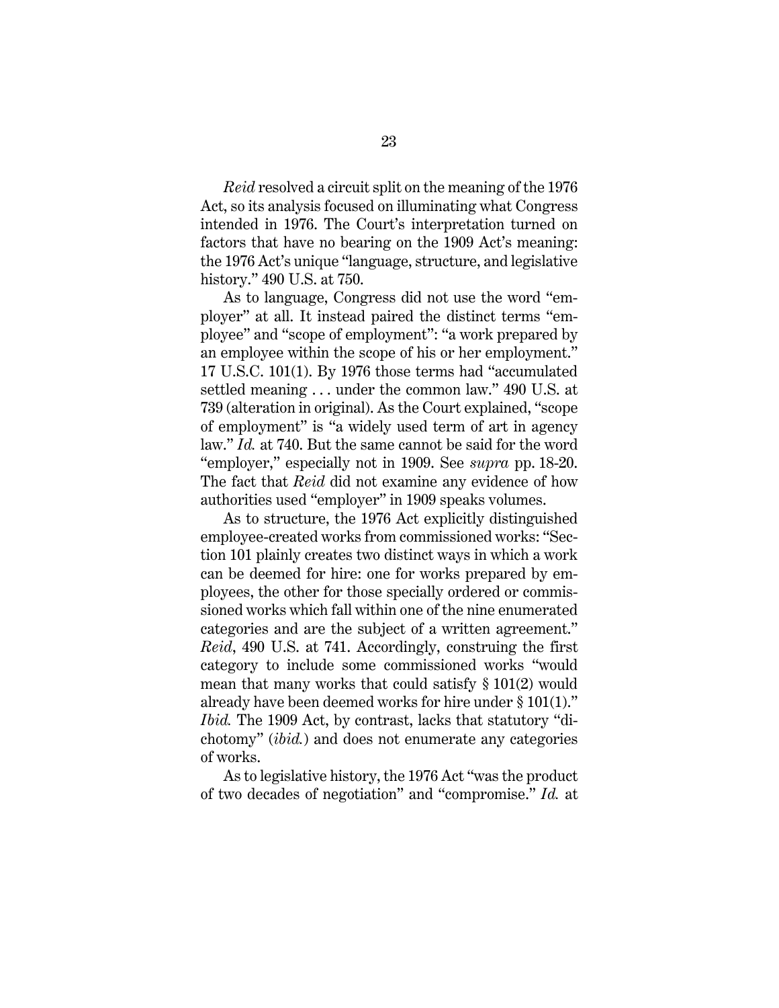*Reid* resolved a circuit split on the meaning of the 1976 Act, so its analysis focused on illuminating what Congress intended in 1976. The Court's interpretation turned on factors that have no bearing on the 1909 Act's meaning: the 1976 Act's unique "language, structure, and legislative history." 490 U.S. at 750.

<span id="page-33-0"></span>As to language, Congress did not use the word "employer" at all. It instead paired the distinct terms "employee" and "scope of employment": "a work prepared by an employee within the scope of his or her employment." 17 U.S.C. 101(1). By 1976 those terms had "accumulated settled meaning . . . under the common law." 490 U.S. at 739 (alteration in original). As the Court explained, "scope of employment" is "a widely used term of art in agency law." *Id.* at 740. But the same cannot be said for the word "employer," especially not in 1909. See *supra* pp. 18-20. The fact that *Reid* did not examine any evidence of how authorities used "employer" in 1909 speaks volumes.

As to structure, the 1976 Act explicitly distinguished employee-created works from commissioned works: "Section 101 plainly creates two distinct ways in which a work can be deemed for hire: one for works prepared by employees, the other for those specially ordered or commissioned works which fall within one of the nine enumerated categories and are the subject of a written agreement." *Reid*, 490 U.S. at 741. Accordingly, construing the first category to include some commissioned works "would mean that many works that could satisfy § 101(2) would already have been deemed works for hire under § 101(1)." *Ibid.* The 1909 Act, by contrast, lacks that statutory "dichotomy" (*ibid.*) and does not enumerate any categories of works.

As to legislative history, the 1976 Act "was the product of two decades of negotiation" and "compromise." *Id.* at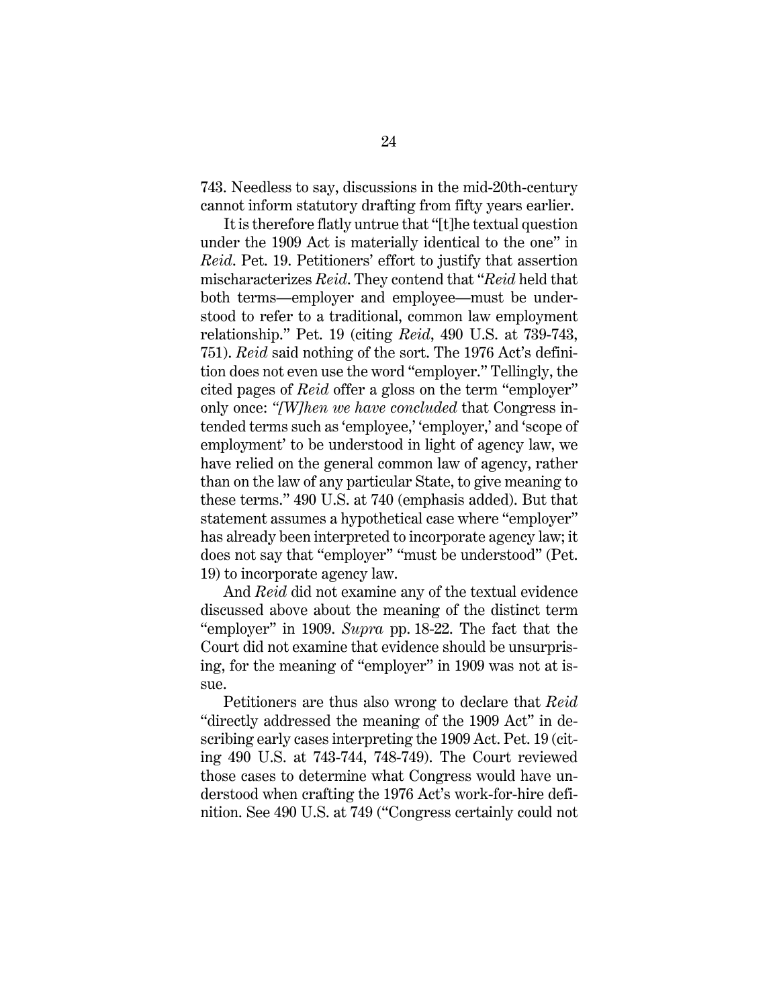743. Needless to say, discussions in the mid-20th-century cannot inform statutory drafting from fifty years earlier.

It is therefore flatly untrue that "[t]he textual question under the 1909 Act is materially identical to the one" in *Reid*. Pet. 19. Petitioners' effort to justify that assertion mischaracterizes *Reid*. They contend that "*Reid* held that both terms—employer and employee—must be understood to refer to a traditional, common law employment relationship." Pet. 19 (citing *Reid*, 490 U.S. at 739-743, 751). *Reid* said nothing of the sort. The 1976 Act's definition does not even use the word "employer." Tellingly, the cited pages of *Reid* offer a gloss on the term "employer" only once: *"[W]hen we have concluded* that Congress intended terms such as 'employee,' 'employer,' and 'scope of employment' to be understood in light of agency law, we have relied on the general common law of agency, rather than on the law of any particular State, to give meaning to these terms." 490 U.S. at 740 (emphasis added). But that statement assumes a hypothetical case where "employer" has already been interpreted to incorporate agency law; it does not say that "employer" "must be understood" (Pet. 19) to incorporate agency law.

And *Reid* did not examine any of the textual evidence discussed above about the meaning of the distinct term "employer" in 1909. *Supra* pp. 18-22. The fact that the Court did not examine that evidence should be unsurprising, for the meaning of "employer" in 1909 was not at issue.

Petitioners are thus also wrong to declare that *Reid*  "directly addressed the meaning of the 1909 Act" in describing early cases interpreting the 1909 Act. Pet. 19 (citing 490 U.S. at 743-744, 748-749). The Court reviewed those cases to determine what Congress would have understood when crafting the 1976 Act's work-for-hire definition. See 490 U.S. at 749 ("Congress certainly could not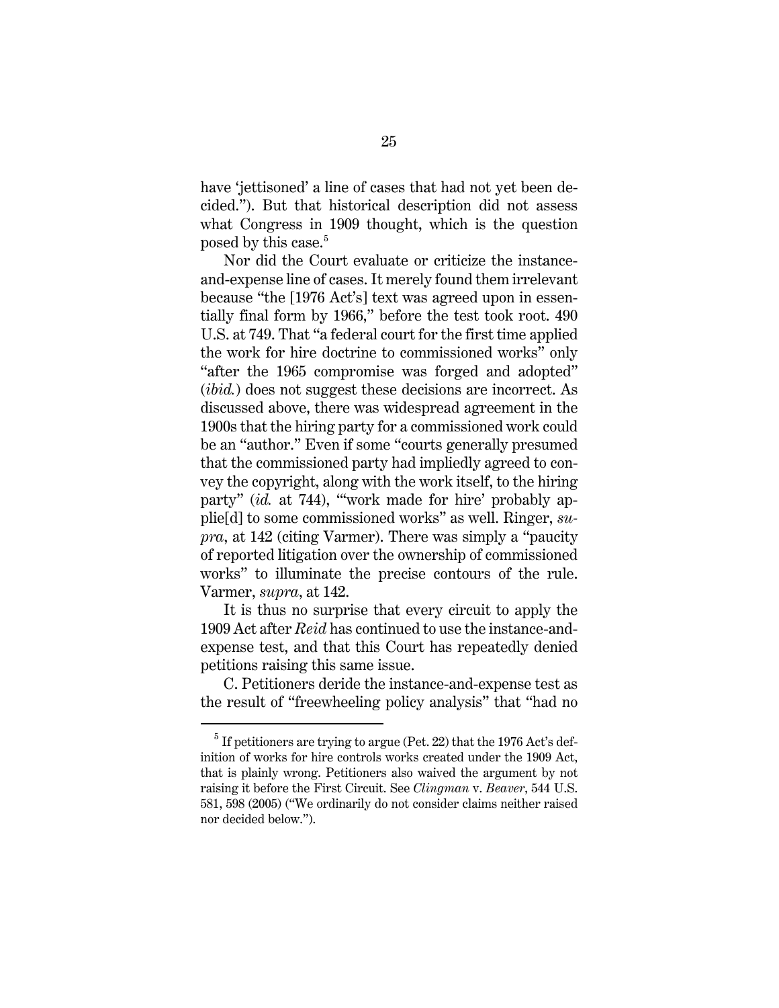have 'jettisoned' a line of cases that had not yet been decided."). But that historical description did not assess what Congress in 1909 thought, which is the question posed by this case.<sup>[5](#page-35-1)</sup>

Nor did the Court evaluate or criticize the instanceand-expense line of cases. It merely found them irrelevant because "the [1976 Act's] text was agreed upon in essentially final form by 1966," before the test took root. 490 U.S. at 749. That "a federal court for the first time applied the work for hire doctrine to commissioned works" only "after the 1965 compromise was forged and adopted" (*ibid.*) does not suggest these decisions are incorrect. As discussed above, there was widespread agreement in the 1900s that the hiring party for a commissioned work could be an "author." Even if some "courts generally presumed that the commissioned party had impliedly agreed to convey the copyright, along with the work itself, to the hiring party" (*id.* at 744), "'work made for hire' probably applie[d] to some commissioned works" as well. Ringer, *supra*, at 142 (citing Varmer). There was simply a "paucity of reported litigation over the ownership of commissioned works" to illuminate the precise contours of the rule. Varmer, *supra*, at 142.

It is thus no surprise that every circuit to apply the 1909 Act after *Reid* has continued to use the instance-andexpense test, and that this Court has repeatedly denied petitions raising this same issue.

C. Petitioners deride the instance-and-expense test as the result of "freewheeling policy analysis" that "had no

<span id="page-35-1"></span><span id="page-35-0"></span> $<sup>5</sup>$  If petitioners are trying to argue (Pet. 22) that the 1976 Act's def-</sup> inition of works for hire controls works created under the 1909 Act, that is plainly wrong. Petitioners also waived the argument by not raising it before the First Circuit. See *Clingman* v. *Beaver*, 544 U.S. 581, 598 (2005) ("We ordinarily do not consider claims neither raised nor decided below.").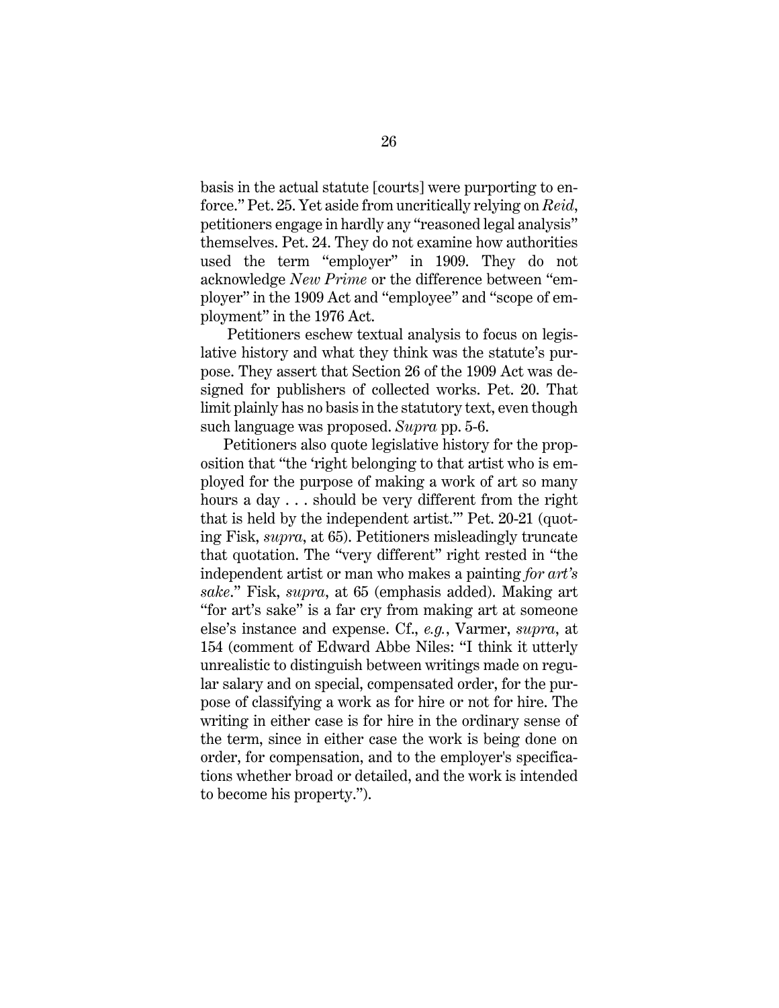basis in the actual statute [courts] were purporting to enforce." Pet. 25. Yet aside from uncritically relying on *Reid*, petitioners engage in hardly any "reasoned legal analysis" themselves. Pet. 24. They do not examine how authorities used the term "employer" in 1909. They do not acknowledge *New Prime* or the difference between "employer" in the 1909 Act and "employee" and "scope of employment" in the 1976 Act.

Petitioners eschew textual analysis to focus on legislative history and what they think was the statute's purpose. They assert that Section 26 of the 1909 Act was designed for publishers of collected works. Pet. 20. That limit plainly has no basis in the statutory text, even though such language was proposed. *Supra* pp. 5-6.

Petitioners also quote legislative history for the proposition that "the 'right belonging to that artist who is employed for the purpose of making a work of art so many hours a day . . . should be very different from the right that is held by the independent artist.'" Pet. 20-21 (quoting Fisk, *supra*, at 65). Petitioners misleadingly truncate that quotation. The "very different" right rested in "the independent artist or man who makes a painting *for art's sake*." Fisk, *supra*, at 65 (emphasis added). Making art "for art's sake" is a far cry from making art at someone else's instance and expense. Cf., *e.g.*, Varmer, *supra*, at 154 (comment of Edward Abbe Niles: "I think it utterly unrealistic to distinguish between writings made on regular salary and on special, compensated order, for the purpose of classifying a work as for hire or not for hire. The writing in either case is for hire in the ordinary sense of the term, since in either case the work is being done on order, for compensation, and to the employer's specifications whether broad or detailed, and the work is intended to become his property.").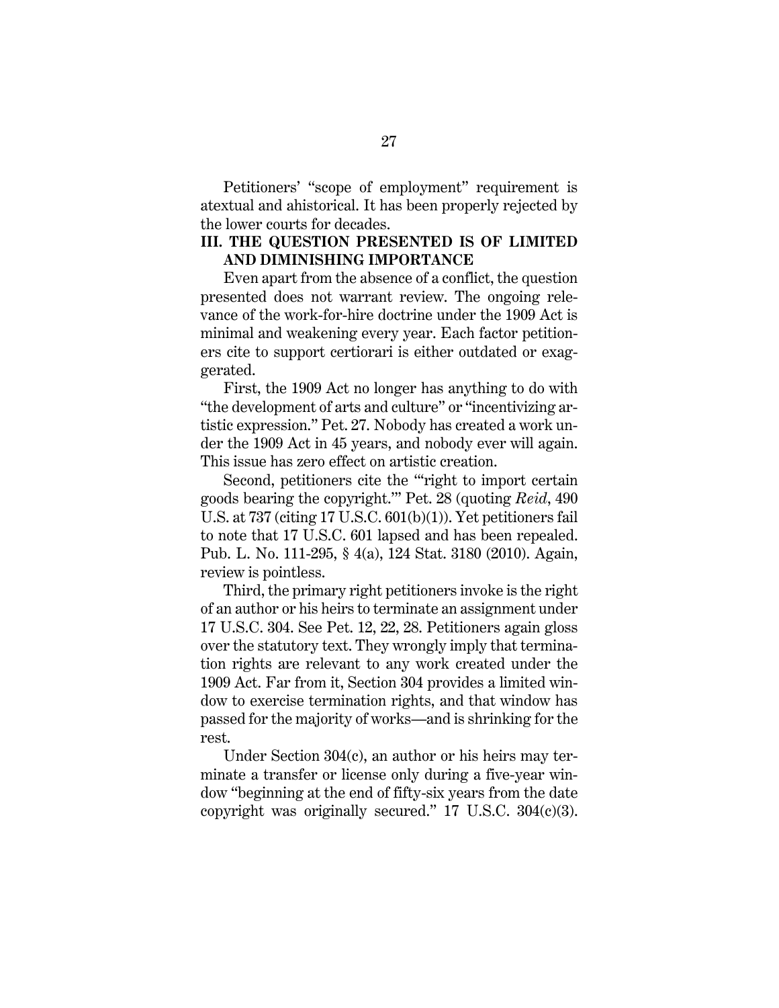Petitioners' "scope of employment" requirement is atextual and ahistorical. It has been properly rejected by the lower courts for decades.

### **III. THE QUESTION PRESENTED IS OF LIMITED AND DIMINISHING IMPORTANCE**

Even apart from the absence of a conflict, the question presented does not warrant review. The ongoing relevance of the work-for-hire doctrine under the 1909 Act is minimal and weakening every year. Each factor petitioners cite to support certiorari is either outdated or exaggerated.

First, the 1909 Act no longer has anything to do with "the development of arts and culture" or "incentivizing artistic expression." Pet. 27. Nobody has created a work under the 1909 Act in 45 years, and nobody ever will again. This issue has zero effect on artistic creation.

<span id="page-37-2"></span>Second, petitioners cite the "'right to import certain goods bearing the copyright.'" Pet. 28 (quoting *Reid*, 490 U.S. at 737 (citing 17 U.S.C. 601(b)(1)). Yet petitioners fail to note that 17 U.S.C. 601 lapsed and has been repealed. Pub. L. No. 111-295, § 4(a), 124 Stat. 3180 (2010). Again, review is pointless.

<span id="page-37-3"></span><span id="page-37-0"></span>Third, the primary right petitioners invoke is the right of an author or his heirs to terminate an assignment under 17 U.S.C. 304. See Pet. 12, 22, 28. Petitioners again gloss over the statutory text. They wrongly imply that termination rights are relevant to any work created under the 1909 Act. Far from it, Section 304 provides a limited window to exercise termination rights, and that window has passed for the majority of works—and is shrinking for the rest.

<span id="page-37-1"></span>Under Section 304(c), an author or his heirs may terminate a transfer or license only during a five-year window "beginning at the end of fifty-six years from the date copyright was originally secured."  $17 \text{ U.S.C. } 304(c)(3)$ .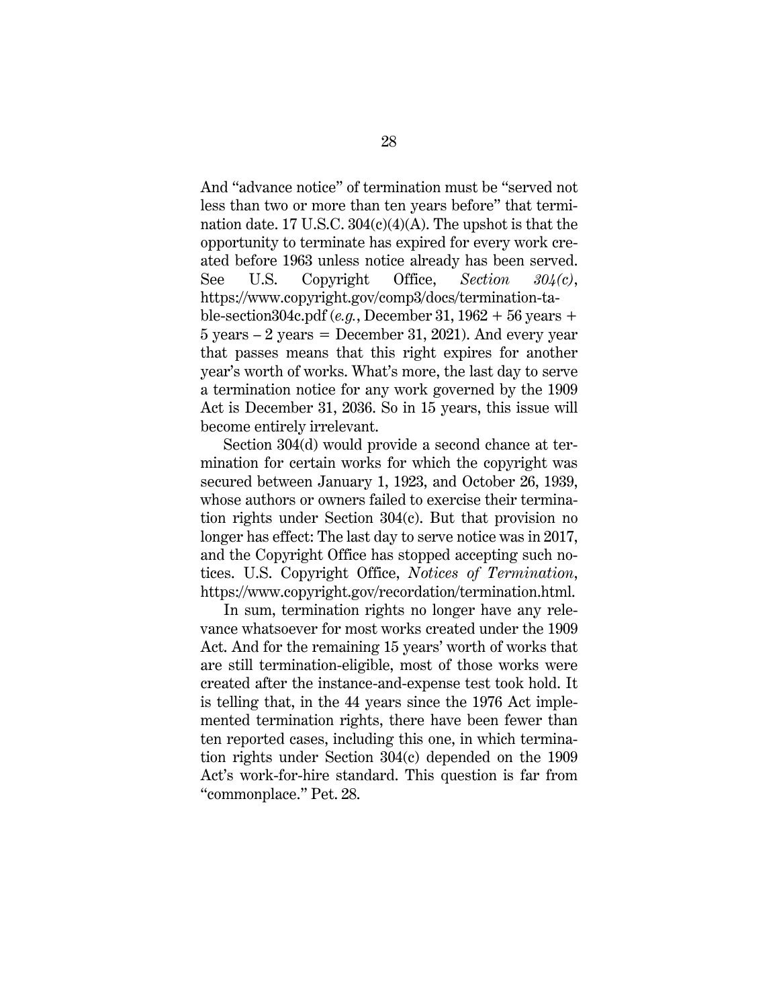<span id="page-38-2"></span><span id="page-38-0"></span>And "advance notice" of termination must be "served not less than two or more than ten years before" that termination date. 17 U.S.C.  $304(c)(4)(A)$ . The upshot is that the opportunity to terminate has expired for every work created before 1963 unless notice already has been served. See U.S. Copyright Office, *Section 304(c)*, https://www.copyright.gov/comp3/docs/termination-table-section304c.pdf (*e.g.*, December 31, 1962 + 56 years +  $5 \text{ years} - 2 \text{ years} = \text{December } 31, 2021$ . And every year that passes means that this right expires for another year's worth of works. What's more, the last day to serve a termination notice for any work governed by the 1909 Act is December 31, 2036. So in 15 years, this issue will become entirely irrelevant.

Section 304(d) would provide a second chance at termination for certain works for which the copyright was secured between January 1, 1923, and October 26, 1939, whose authors or owners failed to exercise their termination rights under Section 304(c). But that provision no longer has effect: The last day to serve notice was in 2017, and the Copyright Office has stopped accepting such notices. U.S. Copyright Office, *Notices of Termination*, https://www.copyright.gov/recordation/termination.html.

<span id="page-38-1"></span>In sum, termination rights no longer have any relevance whatsoever for most works created under the 1909 Act. And for the remaining 15 years' worth of works that are still termination-eligible, most of those works were created after the instance-and-expense test took hold. It is telling that, in the 44 years since the 1976 Act implemented termination rights, there have been fewer than ten reported cases, including this one, in which termination rights under Section 304(c) depended on the 1909 Act's work-for-hire standard. This question is far from "commonplace." Pet. 28.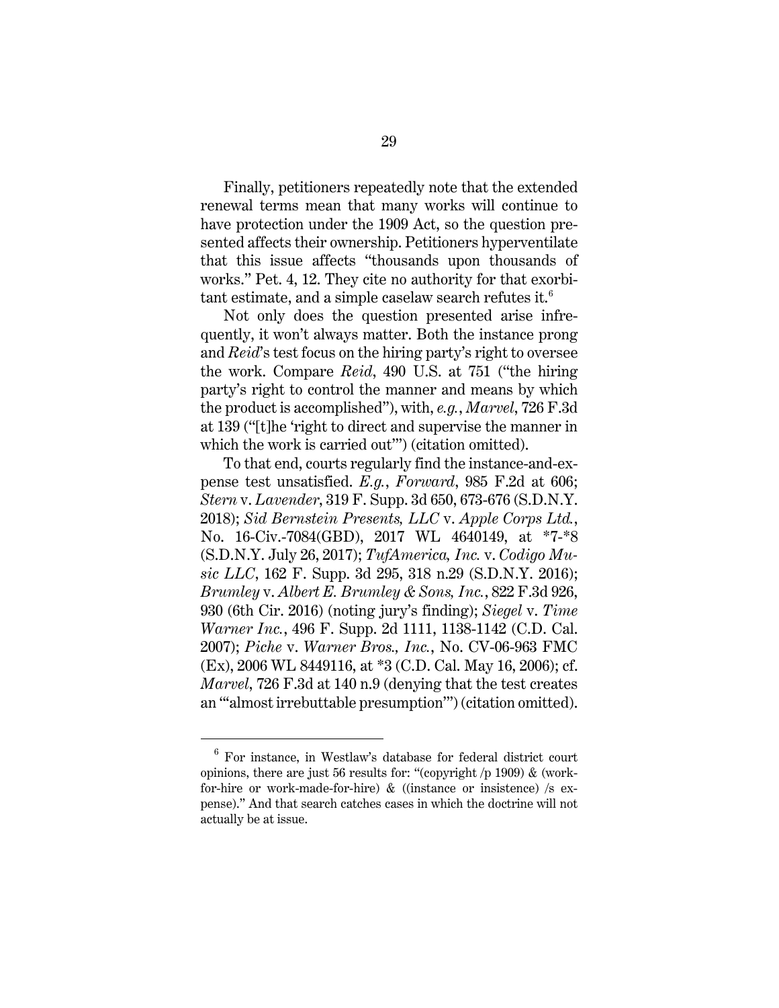Finally, petitioners repeatedly note that the extended renewal terms mean that many works will continue to have protection under the 1909 Act, so the question presented affects their ownership. Petitioners hyperventilate that this issue affects "thousands upon thousands of works." Pet. 4, 12. They cite no authority for that exorbitant estimate, and a simple caselaw search refutes it. $^6$ 

Not only does the question presented arise infrequently, it won't always matter. Both the instance prong and *Reid*'s test focus on the hiring party's right to oversee the work. Compare *Reid*, 490 U.S. at 751 ("the hiring party's right to control the manner and means by which the product is accomplished"), with, *e.g.*, *Marvel*, 726 F.3d at 139 ("[t]he 'right to direct and supervise the manner in which the work is carried out'") (citation omitted).

<span id="page-39-7"></span><span id="page-39-6"></span><span id="page-39-5"></span><span id="page-39-4"></span><span id="page-39-2"></span><span id="page-39-1"></span><span id="page-39-0"></span>To that end, courts regularly find the instance-and-expense test unsatisfied. *E.g.*, *Forward*, 985 F.2d at 606; *Stern* v. *Lavender*, 319 F. Supp. 3d 650, 673-676 (S.D.N.Y. 2018); *Sid Bernstein Presents, LLC* v. *Apple Corps Ltd.*, No. 16-Civ.-7084(GBD), 2017 WL 4640149, at \*7-\*8 (S.D.N.Y. July 26, 2017); *TufAmerica, Inc.* v. *Codigo Music LLC*, 162 F. Supp. 3d 295, 318 n.29 (S.D.N.Y. 2016); *Brumley* v. *Albert E. Brumley & Sons, Inc.*, 822 F.3d 926, 930 (6th Cir. 2016) (noting jury's finding); *Siegel* v. *Time Warner Inc.*, 496 F. Supp. 2d 1111, 1138-1142 (C.D. Cal. 2007); *Piche* v. *Warner Bros., Inc.*, No. CV-06-963 FMC (Ex), 2006 WL 8449116, at \*3 (C.D. Cal. May 16, 2006); cf. *Marvel*, 726 F.3d at 140 n.9 (denying that the test creates an "'almost irrebuttable presumption'") (citation omitted).

<span id="page-39-8"></span><span id="page-39-3"></span> $6$  For instance, in Westlaw's database for federal district court opinions, there are just 56 results for: "(copyright  $p($  1909)  $\&$  (workfor-hire or work-made-for-hire) & ((instance or insistence) /s expense)." And that search catches cases in which the doctrine will not actually be at issue.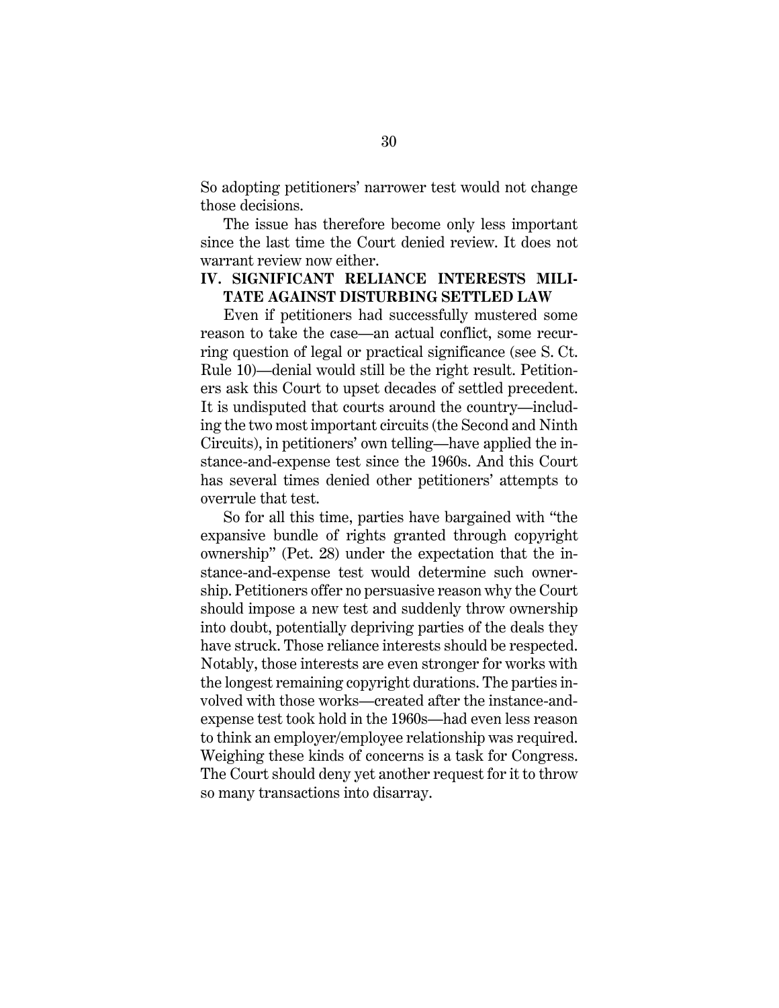So adopting petitioners' narrower test would not change those decisions.

The issue has therefore become only less important since the last time the Court denied review. It does not warrant review now either.

### **IV. SIGNIFICANT RELIANCE INTERESTS MILI-TATE AGAINST DISTURBING SETTLED LAW**

<span id="page-40-0"></span>Even if petitioners had successfully mustered some reason to take the case—an actual conflict, some recurring question of legal or practical significance (see S. Ct. Rule 10)—denial would still be the right result. Petitioners ask this Court to upset decades of settled precedent. It is undisputed that courts around the country—including the two most important circuits (the Second and Ninth Circuits), in petitioners' own telling—have applied the instance-and-expense test since the 1960s. And this Court has several times denied other petitioners' attempts to overrule that test.

So for all this time, parties have bargained with "the expansive bundle of rights granted through copyright ownership" (Pet. 28) under the expectation that the instance-and-expense test would determine such ownership. Petitioners offer no persuasive reason why the Court should impose a new test and suddenly throw ownership into doubt, potentially depriving parties of the deals they have struck. Those reliance interests should be respected. Notably, those interests are even stronger for works with the longest remaining copyright durations. The parties involved with those works—created after the instance-andexpense test took hold in the 1960s—had even less reason to think an employer/employee relationship was required. Weighing these kinds of concerns is a task for Congress. The Court should deny yet another request for it to throw so many transactions into disarray.